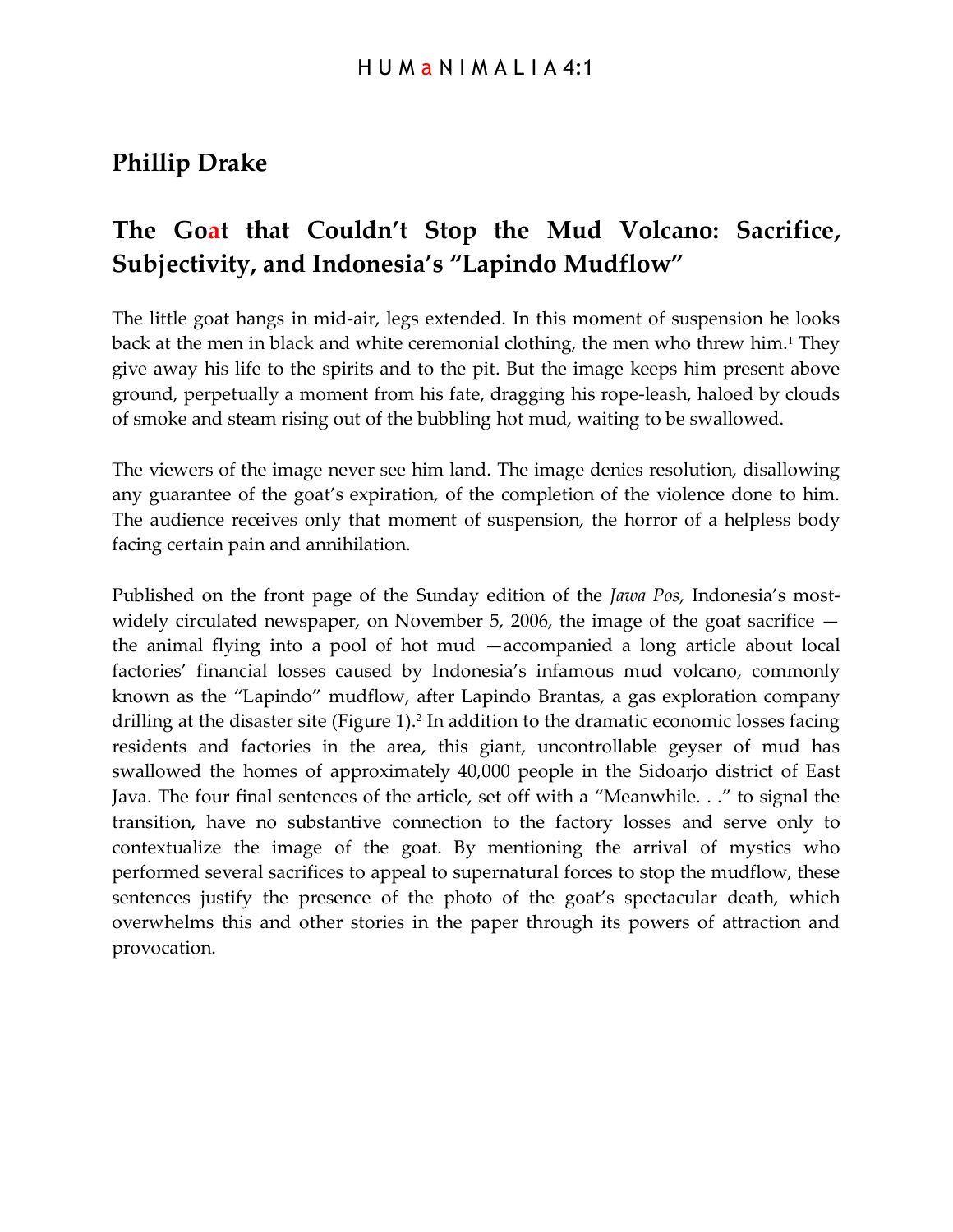# **Phillip Drake**

# **The Goat that Couldn't Stop the Mud Volcano: Sacrifice, Subjectivity, and Indonesia's "Lapindo Mudflow"**

The little goat hangs in mid-air, legs extended. In this moment of suspension he looks back at the men in black and white ceremonial clothing, the men who threw him.<sup>1</sup> They give away his life to the spirits and to the pit. But the image keeps him present above ground, perpetually a moment from his fate, dragging his rope-leash, haloed by clouds of smoke and steam rising out of the bubbling hot mud, waiting to be swallowed.

The viewers of the image never see him land. The image denies resolution, disallowing any guarantee of the goat's expiration, of the completion of the violence done to him. The audience receives only that moment of suspension, the horror of a helpless body facing certain pain and annihilation.

Published on the front page of the Sunday edition of the *Jawa Pos*, Indonesia's mostwidely circulated newspaper, on November 5, 2006, the image of the goat sacrifice  $$ the animal flying into a pool of hot mud —accompanied a long article about local factories' financial losses caused by Indonesia's infamous mud volcano, commonly known as the "Lapindo" mudflow, after Lapindo Brantas, a gas exploration company drilling at the disaster site (Figure 1).<sup>2</sup> In addition to the dramatic economic losses facing residents and factories in the area, this giant, uncontrollable geyser of mud has swallowed the homes of approximately 40,000 people in the Sidoarjo district of East Java. The four final sentences of the article, set off with a "Meanwhile. . ." to signal the transition, have no substantive connection to the factory losses and serve only to contextualize the image of the goat. By mentioning the arrival of mystics who performed several sacrifices to appeal to supernatural forces to stop the mudflow, these sentences justify the presence of the photo of the goat's spectacular death, which overwhelms this and other stories in the paper through its powers of attraction and provocation.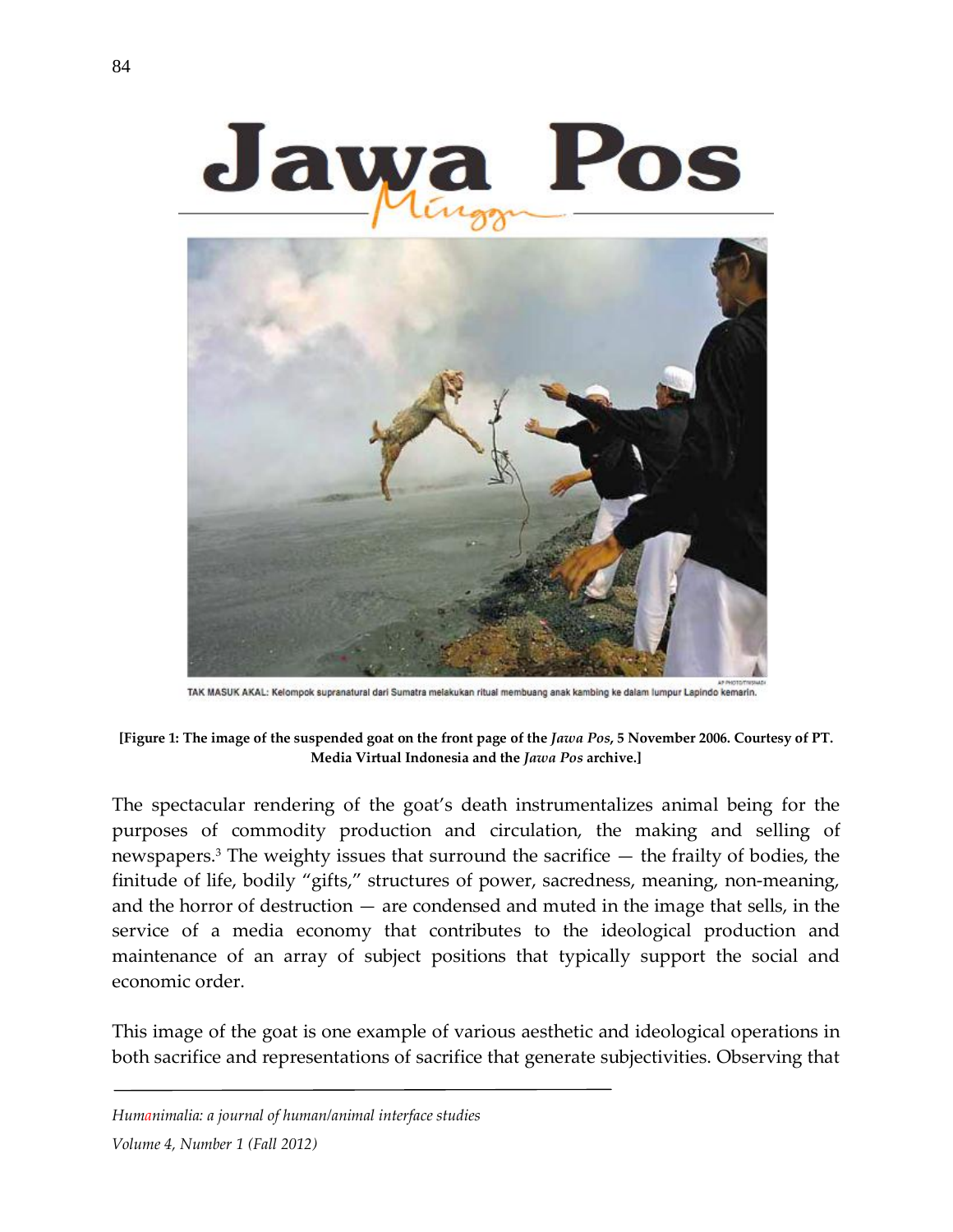

TAK MASUK AKAL: Kelompok supranatural dari Sumatra melakukan ritual membuang anak kambing ke dalam lumpur Lapindo kemarin.

**[Figure 1: The image of the suspended goat on the front page of the** *Jawa Pos***, 5 November 2006. Courtesy of PT. Media Virtual Indonesia and the** *Jawa Pos* **archive.]**

The spectacular rendering of the goat's death instrumentalizes animal being for the purposes of commodity production and circulation, the making and selling of newspapers.3 The weighty issues that surround the sacrifice — the frailty of bodies, the finitude of life, bodily "gifts," structures of power, sacredness, meaning, non-meaning, and the horror of destruction — are condensed and muted in the image that sells, in the service of a media economy that contributes to the ideological production and maintenance of an array of subject positions that typically support the social and economic order.

This image of the goat is one example of various aesthetic and ideological operations in both sacrifice and representations of sacrifice that generate subjectivities. Observing that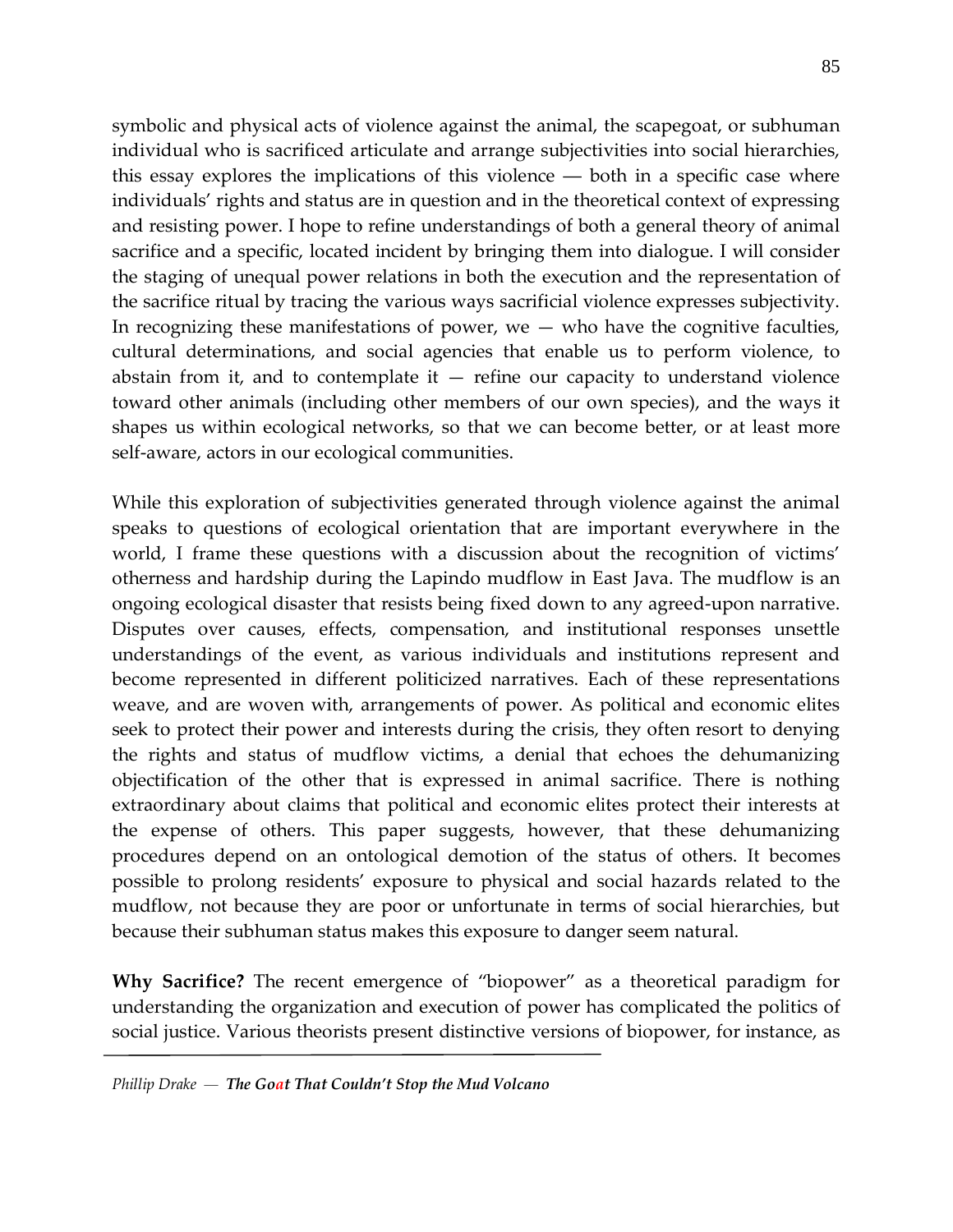symbolic and physical acts of violence against the animal, the scapegoat, or subhuman individual who is sacrificed articulate and arrange subjectivities into social hierarchies, this essay explores the implications of this violence ― both in a specific case where individuals' rights and status are in question and in the theoretical context of expressing and resisting power. I hope to refine understandings of both a general theory of animal sacrifice and a specific, located incident by bringing them into dialogue. I will consider the staging of unequal power relations in both the execution and the representation of the sacrifice ritual by tracing the various ways sacrificial violence expresses subjectivity. In recognizing these manifestations of power, we  $-$  who have the cognitive faculties, cultural determinations, and social agencies that enable us to perform violence, to abstain from it, and to contemplate it  $-$  refine our capacity to understand violence toward other animals (including other members of our own species), and the ways it shapes us within ecological networks, so that we can become better, or at least more self-aware, actors in our ecological communities.

While this exploration of subjectivities generated through violence against the animal speaks to questions of ecological orientation that are important everywhere in the world, I frame these questions with a discussion about the recognition of victims' otherness and hardship during the Lapindo mudflow in East Java. The mudflow is an ongoing ecological disaster that resists being fixed down to any agreed-upon narrative. Disputes over causes, effects, compensation, and institutional responses unsettle understandings of the event, as various individuals and institutions represent and become represented in different politicized narratives. Each of these representations weave, and are woven with, arrangements of power. As political and economic elites seek to protect their power and interests during the crisis, they often resort to denying the rights and status of mudflow victims, a denial that echoes the dehumanizing objectification of the other that is expressed in animal sacrifice. There is nothing extraordinary about claims that political and economic elites protect their interests at the expense of others. This paper suggests, however, that these dehumanizing procedures depend on an ontological demotion of the status of others. It becomes possible to prolong residents' exposure to physical and social hazards related to the mudflow, not because they are poor or unfortunate in terms of social hierarchies, but because their subhuman status makes this exposure to danger seem natural.

**Why Sacrifice?** The recent emergence of "biopower" as a theoretical paradigm for understanding the organization and execution of power has complicated the politics of social justice. Various theorists present distinctive versions of biopower, for instance, as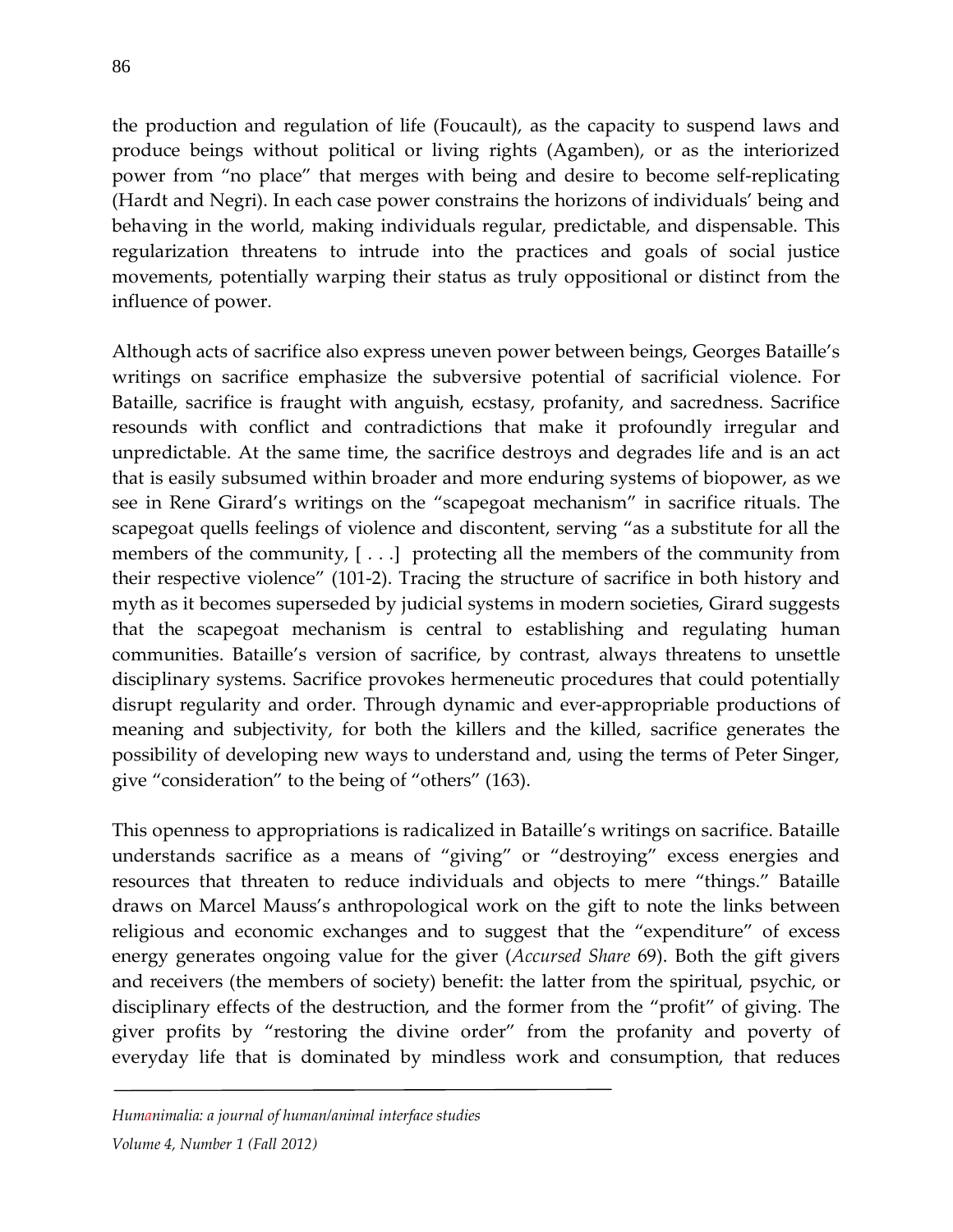the production and regulation of life (Foucault), as the capacity to suspend laws and produce beings without political or living rights (Agamben), or as the interiorized power from "no place" that merges with being and desire to become self-replicating (Hardt and Negri). In each case power constrains the horizons of individuals' being and behaving in the world, making individuals regular, predictable, and dispensable. This regularization threatens to intrude into the practices and goals of social justice movements, potentially warping their status as truly oppositional or distinct from the influence of power.

Although acts of sacrifice also express uneven power between beings, Georges Bataille's writings on sacrifice emphasize the subversive potential of sacrificial violence. For Bataille, sacrifice is fraught with anguish, ecstasy, profanity, and sacredness. Sacrifice resounds with conflict and contradictions that make it profoundly irregular and unpredictable. At the same time, the sacrifice destroys and degrades life and is an act that is easily subsumed within broader and more enduring systems of biopower, as we see in Rene Girard's writings on the "scapegoat mechanism" in sacrifice rituals. The scapegoat quells feelings of violence and discontent, serving "as a substitute for all the members of the community, [ . . .] protecting all the members of the community from their respective violence" (101-2). Tracing the structure of sacrifice in both history and myth as it becomes superseded by judicial systems in modern societies, Girard suggests that the scapegoat mechanism is central to establishing and regulating human communities. Bataille's version of sacrifice, by contrast, always threatens to unsettle disciplinary systems. Sacrifice provokes hermeneutic procedures that could potentially disrupt regularity and order. Through dynamic and ever-appropriable productions of meaning and subjectivity, for both the killers and the killed, sacrifice generates the possibility of developing new ways to understand and, using the terms of Peter Singer, give "consideration" to the being of "others" (163).

This openness to appropriations is radicalized in Bataille's writings on sacrifice. Bataille understands sacrifice as a means of "giving" or "destroying" excess energies and resources that threaten to reduce individuals and objects to mere "things." Bataille draws on Marcel Mauss's anthropological work on the gift to note the links between religious and economic exchanges and to suggest that the "expenditure" of excess energy generates ongoing value for the giver (*Accursed Share* 69). Both the gift givers and receivers (the members of society) benefit: the latter from the spiritual, psychic, or disciplinary effects of the destruction, and the former from the "profit" of giving. The giver profits by "restoring the divine order" from the profanity and poverty of everyday life that is dominated by mindless work and consumption, that reduces

## *Humanimalia: a journal of human/animal interface studies*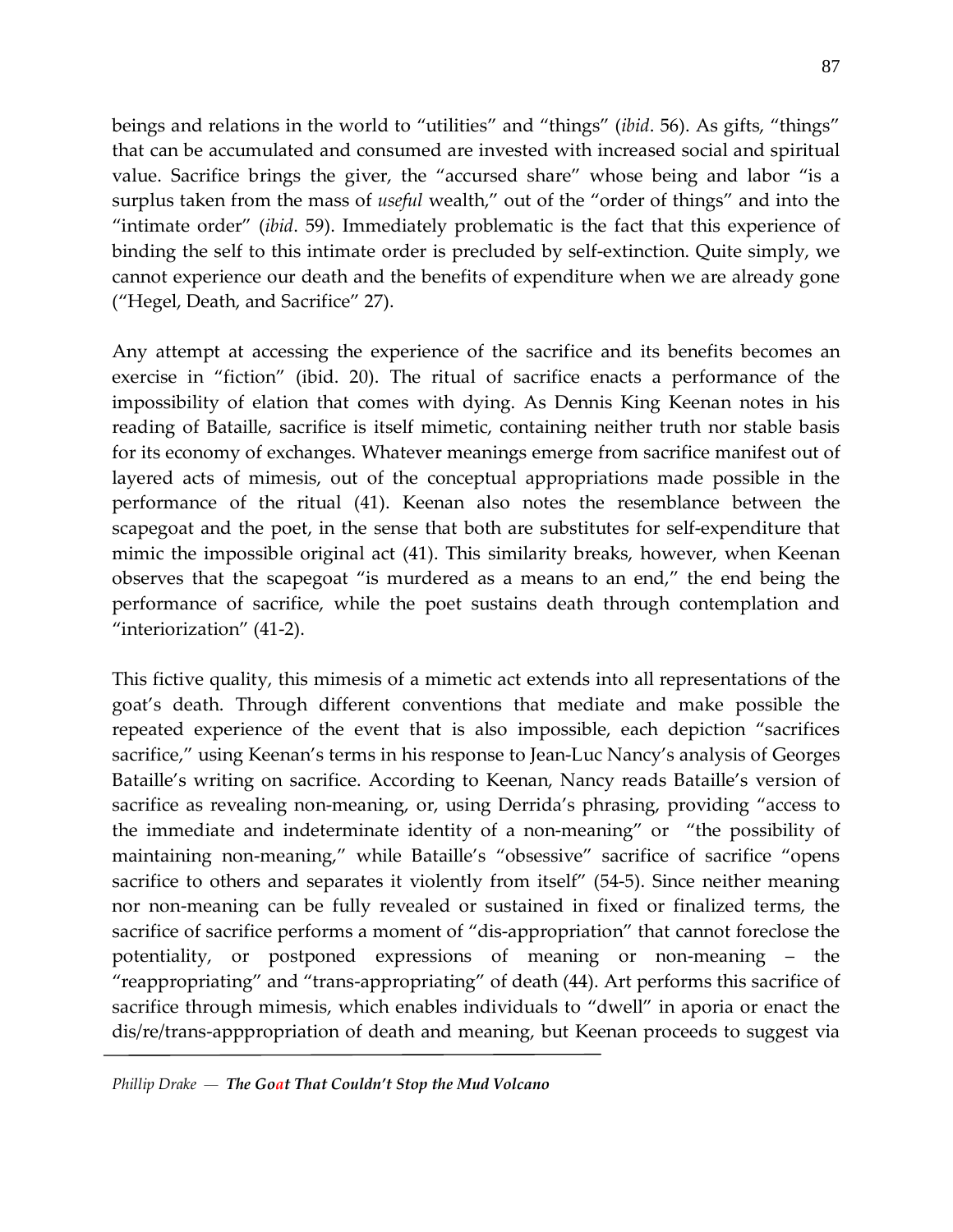beings and relations in the world to "utilities" and "things" (*ibid*. 56). As gifts, "things" that can be accumulated and consumed are invested with increased social and spiritual value. Sacrifice brings the giver, the "accursed share" whose being and labor "is a surplus taken from the mass of *useful* wealth," out of the "order of things" and into the "intimate order" (*ibid*. 59). Immediately problematic is the fact that this experience of binding the self to this intimate order is precluded by self-extinction. Quite simply, we cannot experience our death and the benefits of expenditure when we are already gone ("Hegel, Death, and Sacrifice" 27).

Any attempt at accessing the experience of the sacrifice and its benefits becomes an exercise in "fiction" (ibid. 20). The ritual of sacrifice enacts a performance of the impossibility of elation that comes with dying. As Dennis King Keenan notes in his reading of Bataille, sacrifice is itself mimetic, containing neither truth nor stable basis for its economy of exchanges. Whatever meanings emerge from sacrifice manifest out of layered acts of mimesis, out of the conceptual appropriations made possible in the performance of the ritual (41). Keenan also notes the resemblance between the scapegoat and the poet, in the sense that both are substitutes for self-expenditure that mimic the impossible original act (41). This similarity breaks, however, when Keenan observes that the scapegoat "is murdered as a means to an end," the end being the performance of sacrifice, while the poet sustains death through contemplation and "interiorization" (41-2).

This fictive quality, this mimesis of a mimetic act extends into all representations of the goat's death. Through different conventions that mediate and make possible the repeated experience of the event that is also impossible, each depiction "sacrifices sacrifice," using Keenan's terms in his response to Jean-Luc Nancy's analysis of Georges Bataille's writing on sacrifice. According to Keenan, Nancy reads Bataille's version of sacrifice as revealing non-meaning, or, using Derrida's phrasing, providing "access to the immediate and indeterminate identity of a non-meaning" or "the possibility of maintaining non-meaning," while Bataille's "obsessive" sacrifice of sacrifice "opens sacrifice to others and separates it violently from itself" (54-5). Since neither meaning nor non-meaning can be fully revealed or sustained in fixed or finalized terms, the sacrifice of sacrifice performs a moment of "dis-appropriation" that cannot foreclose the potentiality, or postponed expressions of meaning or non-meaning – the "reappropriating" and "trans-appropriating" of death (44). Art performs this sacrifice of sacrifice through mimesis, which enables individuals to "dwell" in aporia or enact the dis/re/trans-apppropriation of death and meaning, but Keenan proceeds to suggest via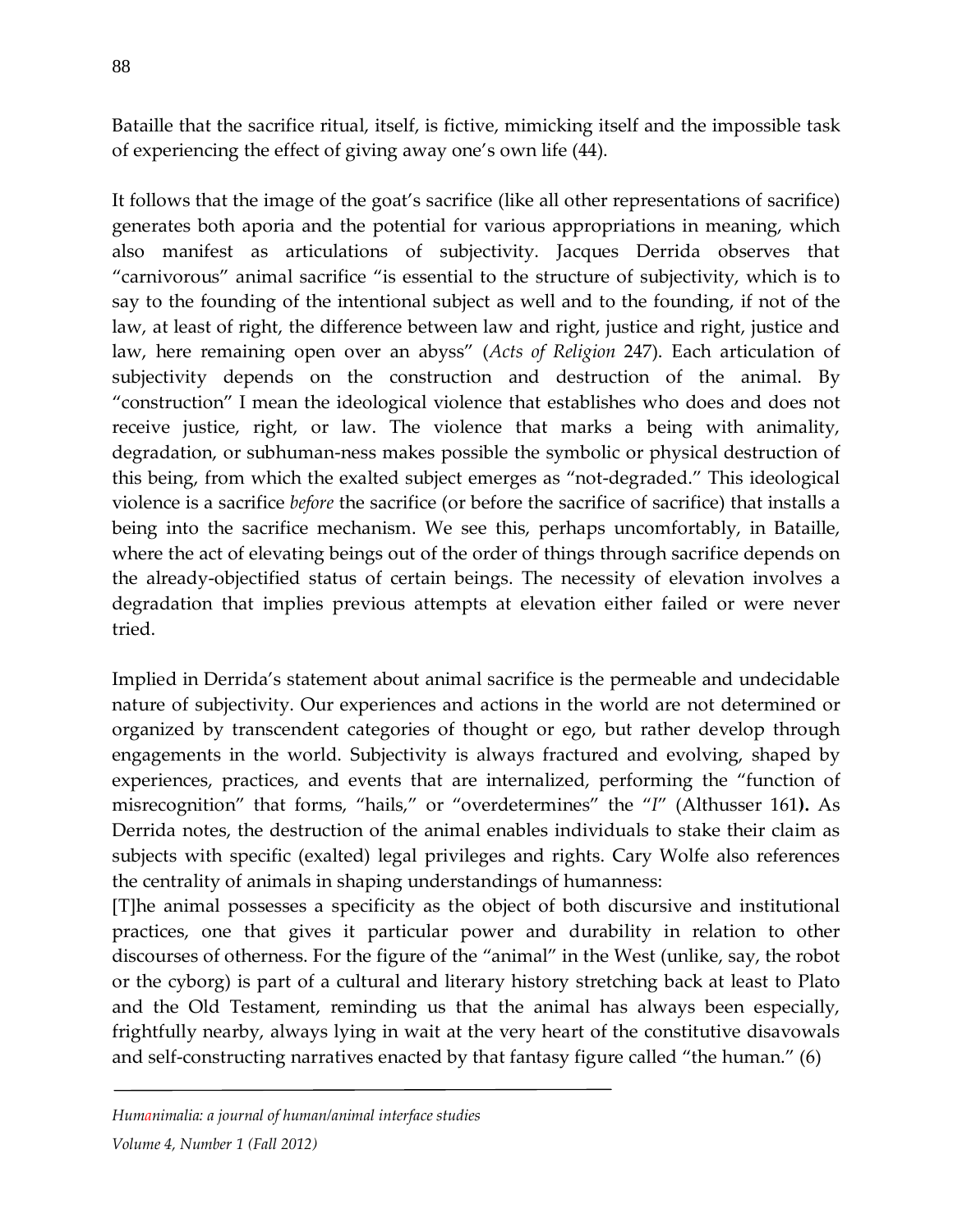Bataille that the sacrifice ritual, itself, is fictive, mimicking itself and the impossible task of experiencing the effect of giving away one's own life (44).

It follows that the image of the goat's sacrifice (like all other representations of sacrifice) generates both aporia and the potential for various appropriations in meaning, which also manifest as articulations of subjectivity. Jacques Derrida observes that "carnivorous" animal sacrifice "is essential to the structure of subjectivity, which is to say to the founding of the intentional subject as well and to the founding, if not of the law, at least of right, the difference between law and right, justice and right, justice and law, here remaining open over an abyss" (*Acts of Religion* 247). Each articulation of subjectivity depends on the construction and destruction of the animal. By "construction" I mean the ideological violence that establishes who does and does not receive justice, right, or law. The violence that marks a being with animality, degradation, or subhuman-ness makes possible the symbolic or physical destruction of this being, from which the exalted subject emerges as "not-degraded." This ideological violence is a sacrifice *before* the sacrifice (or before the sacrifice of sacrifice) that installs a being into the sacrifice mechanism. We see this, perhaps uncomfortably, in Bataille, where the act of elevating beings out of the order of things through sacrifice depends on the already-objectified status of certain beings. The necessity of elevation involves a degradation that implies previous attempts at elevation either failed or were never tried.

Implied in Derrida's statement about animal sacrifice is the permeable and undecidable nature of subjectivity. Our experiences and actions in the world are not determined or organized by transcendent categories of thought or ego, but rather develop through engagements in the world. Subjectivity is always fractured and evolving, shaped by experiences, practices, and events that are internalized, performing the "function of misrecognition" that forms, "hails," or "overdetermines" the "*I*" (Althusser 161**).** As Derrida notes, the destruction of the animal enables individuals to stake their claim as subjects with specific (exalted) legal privileges and rights. Cary Wolfe also references the centrality of animals in shaping understandings of humanness:

[T]he animal possesses a specificity as the object of both discursive and institutional practices, one that gives it particular power and durability in relation to other discourses of otherness. For the figure of the "animal" in the West (unlike, say, the robot or the cyborg) is part of a cultural and literary history stretching back at least to Plato and the Old Testament, reminding us that the animal has always been especially, frightfully nearby, always lying in wait at the very heart of the constitutive disavowals and self-constructing narratives enacted by that fantasy figure called "the human." (6)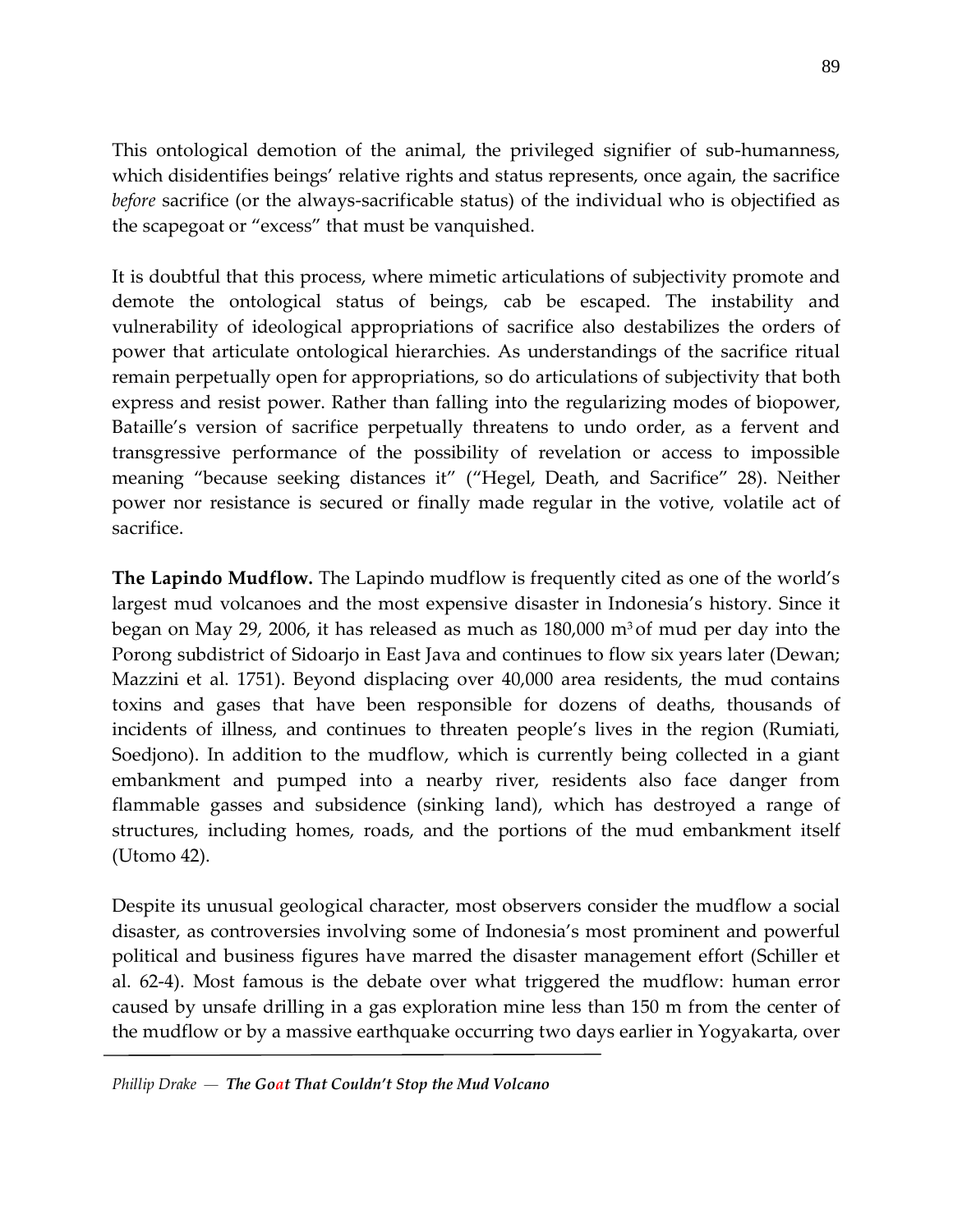This ontological demotion of the animal, the privileged signifier of sub-humanness, which disidentifies beings' relative rights and status represents, once again, the sacrifice *before* sacrifice (or the always-sacrificable status) of the individual who is objectified as the scapegoat or "excess" that must be vanquished.

It is doubtful that this process, where mimetic articulations of subjectivity promote and demote the ontological status of beings, cab be escaped. The instability and vulnerability of ideological appropriations of sacrifice also destabilizes the orders of power that articulate ontological hierarchies. As understandings of the sacrifice ritual remain perpetually open for appropriations, so do articulations of subjectivity that both express and resist power. Rather than falling into the regularizing modes of biopower, Bataille's version of sacrifice perpetually threatens to undo order, as a fervent and transgressive performance of the possibility of revelation or access to impossible meaning "because seeking distances it" ("Hegel, Death, and Sacrifice" 28). Neither power nor resistance is secured or finally made regular in the votive, volatile act of sacrifice.

**The Lapindo Mudflow.** The Lapindo mudflow is frequently cited as one of the world's largest mud volcanoes and the most expensive disaster in Indonesia's history. Since it began on May 29, 2006, it has released as much as  $180,000$  m<sup>3</sup> of mud per day into the Porong subdistrict of Sidoarjo in East Java and continues to flow six years later (Dewan; Mazzini et al. 1751). Beyond displacing over 40,000 area residents, the mud contains toxins and gases that have been responsible for dozens of deaths, thousands of incidents of illness, and continues to threaten people's lives in the region (Rumiati, Soedjono). In addition to the mudflow, which is currently being collected in a giant embankment and pumped into a nearby river, residents also face danger from flammable gasses and subsidence (sinking land), which has destroyed a range of structures, including homes, roads, and the portions of the mud embankment itself (Utomo 42).

Despite its unusual geological character, most observers consider the mudflow a social disaster, as controversies involving some of Indonesia's most prominent and powerful political and business figures have marred the disaster management effort (Schiller et al. 62-4). Most famous is the debate over what triggered the mudflow: human error caused by unsafe drilling in a gas exploration mine less than 150 m from the center of the mudflow or by a massive earthquake occurring two days earlier in Yogyakarta, over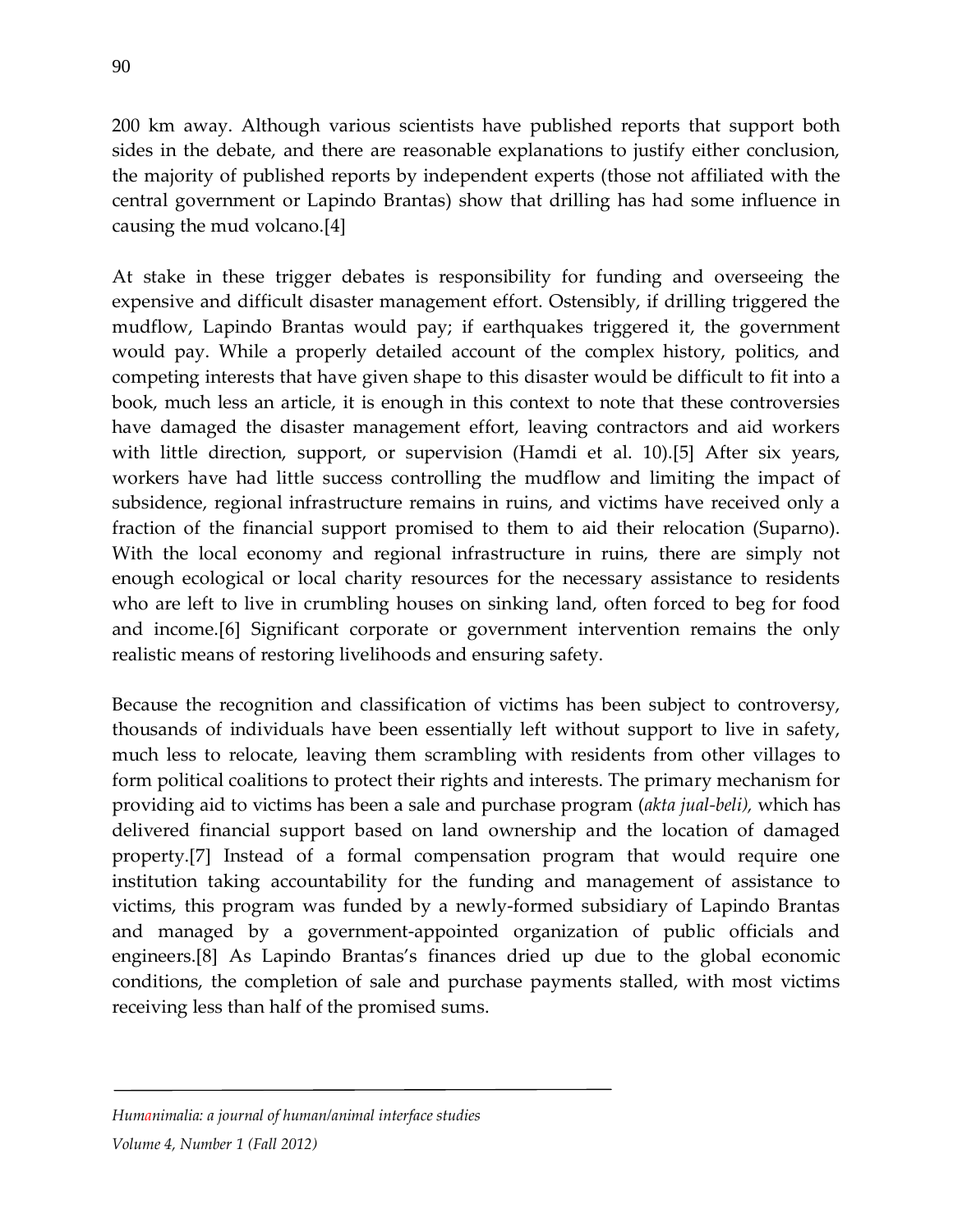200 km away. Although various scientists have published reports that support both sides in the debate, and there are reasonable explanations to justify either conclusion, the majority of published reports by independent experts (those not affiliated with the central government or Lapindo Brantas) show that drilling has had some influence in causing the mud volcano.[4]

At stake in these trigger debates is responsibility for funding and overseeing the expensive and difficult disaster management effort. Ostensibly, if drilling triggered the mudflow, Lapindo Brantas would pay; if earthquakes triggered it, the government would pay. While a properly detailed account of the complex history, politics, and competing interests that have given shape to this disaster would be difficult to fit into a book, much less an article, it is enough in this context to note that these controversies have damaged the disaster management effort, leaving contractors and aid workers with little direction, support, or supervision (Hamdi et al. 10).<sup>[5]</sup> After six years, workers have had little success controlling the mudflow and limiting the impact of subsidence, regional infrastructure remains in ruins, and victims have received only a fraction of the financial support promised to them to aid their relocation (Suparno). With the local economy and regional infrastructure in ruins, there are simply not enough ecological or local charity resources for the necessary assistance to residents who are left to live in crumbling houses on sinking land, often forced to beg for food and income.[6] Significant corporate or government intervention remains the only realistic means of restoring livelihoods and ensuring safety.

Because the recognition and classification of victims has been subject to controversy, thousands of individuals have been essentially left without support to live in safety, much less to relocate, leaving them scrambling with residents from other villages to form political coalitions to protect their rights and interests. The primary mechanism for providing aid to victims has been a sale and purchase program (*akta jual-beli),* which has delivered financial support based on land ownership and the location of damaged property.[7] Instead of a formal compensation program that would require one institution taking accountability for the funding and management of assistance to victims, this program was funded by a newly-formed subsidiary of Lapindo Brantas and managed by a government-appointed organization of public officials and engineers.[8] As Lapindo Brantas's finances dried up due to the global economic conditions, the completion of sale and purchase payments stalled, with most victims receiving less than half of the promised sums.

### *Humanimalia: a journal of human/animal interface studies*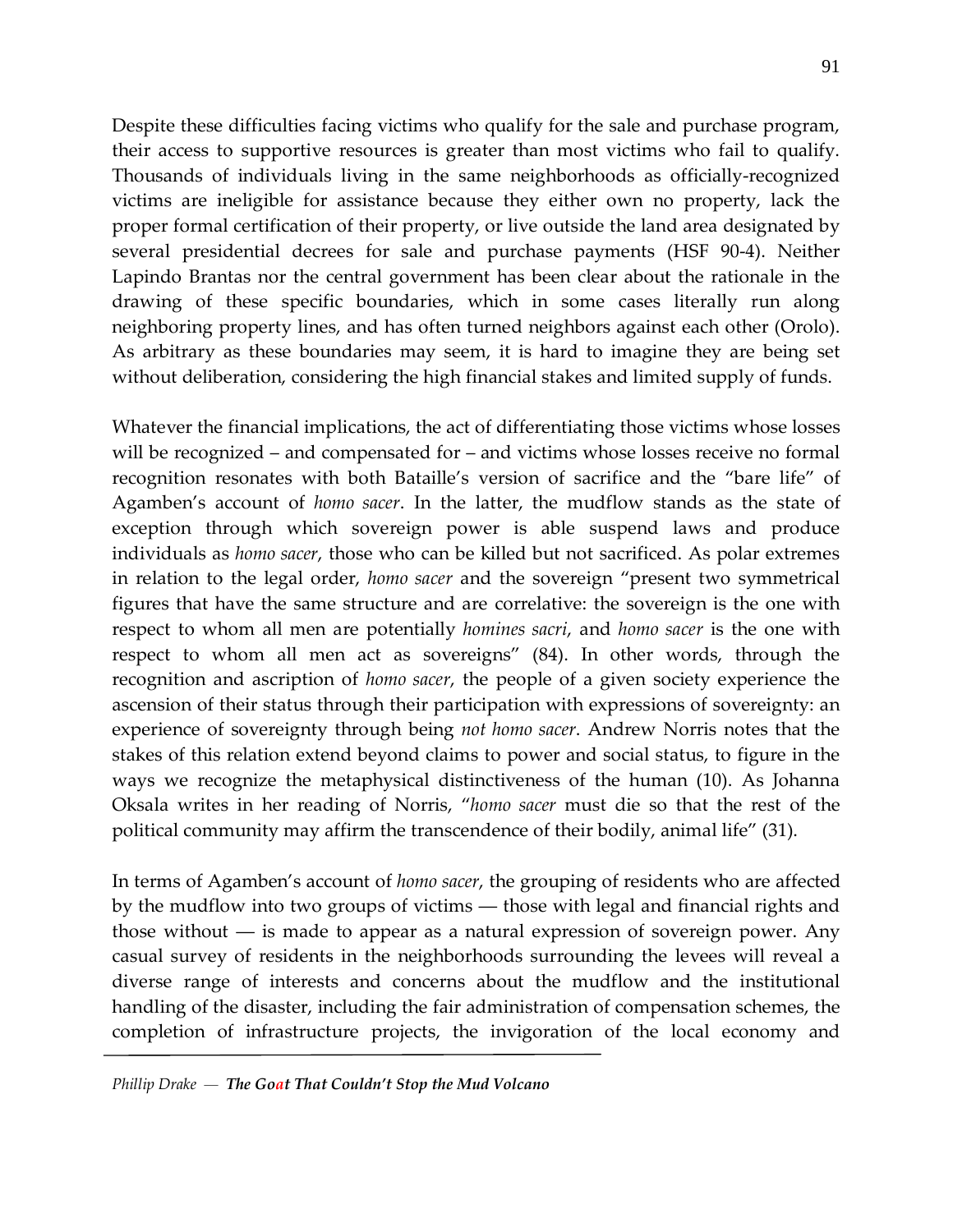Despite these difficulties facing victims who qualify for the sale and purchase program, their access to supportive resources is greater than most victims who fail to qualify. Thousands of individuals living in the same neighborhoods as officially-recognized victims are ineligible for assistance because they either own no property, lack the proper formal certification of their property, or live outside the land area designated by several presidential decrees for sale and purchase payments (HSF 90-4). Neither Lapindo Brantas nor the central government has been clear about the rationale in the drawing of these specific boundaries, which in some cases literally run along neighboring property lines, and has often turned neighbors against each other (Orolo). As arbitrary as these boundaries may seem, it is hard to imagine they are being set without deliberation, considering the high financial stakes and limited supply of funds.

Whatever the financial implications, the act of differentiating those victims whose losses will be recognized – and compensated for – and victims whose losses receive no formal recognition resonates with both Bataille's version of sacrifice and the "bare life" of Agamben's account of *homo sacer*. In the latter, the mudflow stands as the state of exception through which sovereign power is able suspend laws and produce individuals as *homo sacer*, those who can be killed but not sacrificed. As polar extremes in relation to the legal order, *homo sacer* and the sovereign "present two symmetrical figures that have the same structure and are correlative: the sovereign is the one with respect to whom all men are potentially *homines sacri*, and *homo sacer* is the one with respect to whom all men act as sovereigns" (84). In other words, through the recognition and ascription of *homo sacer*, the people of a given society experience the ascension of their status through their participation with expressions of sovereignty: an experience of sovereignty through being *not homo sacer*. Andrew Norris notes that the stakes of this relation extend beyond claims to power and social status, to figure in the ways we recognize the metaphysical distinctiveness of the human (10). As Johanna Oksala writes in her reading of Norris, "*homo sacer* must die so that the rest of the political community may affirm the transcendence of their bodily, animal life" (31).

In terms of Agamben's account of *homo sacer*, the grouping of residents who are affected by the mudflow into two groups of victims ― those with legal and financial rights and those without ― is made to appear as a natural expression of sovereign power. Any casual survey of residents in the neighborhoods surrounding the levees will reveal a diverse range of interests and concerns about the mudflow and the institutional handling of the disaster, including the fair administration of compensation schemes, the completion of infrastructure projects, the invigoration of the local economy and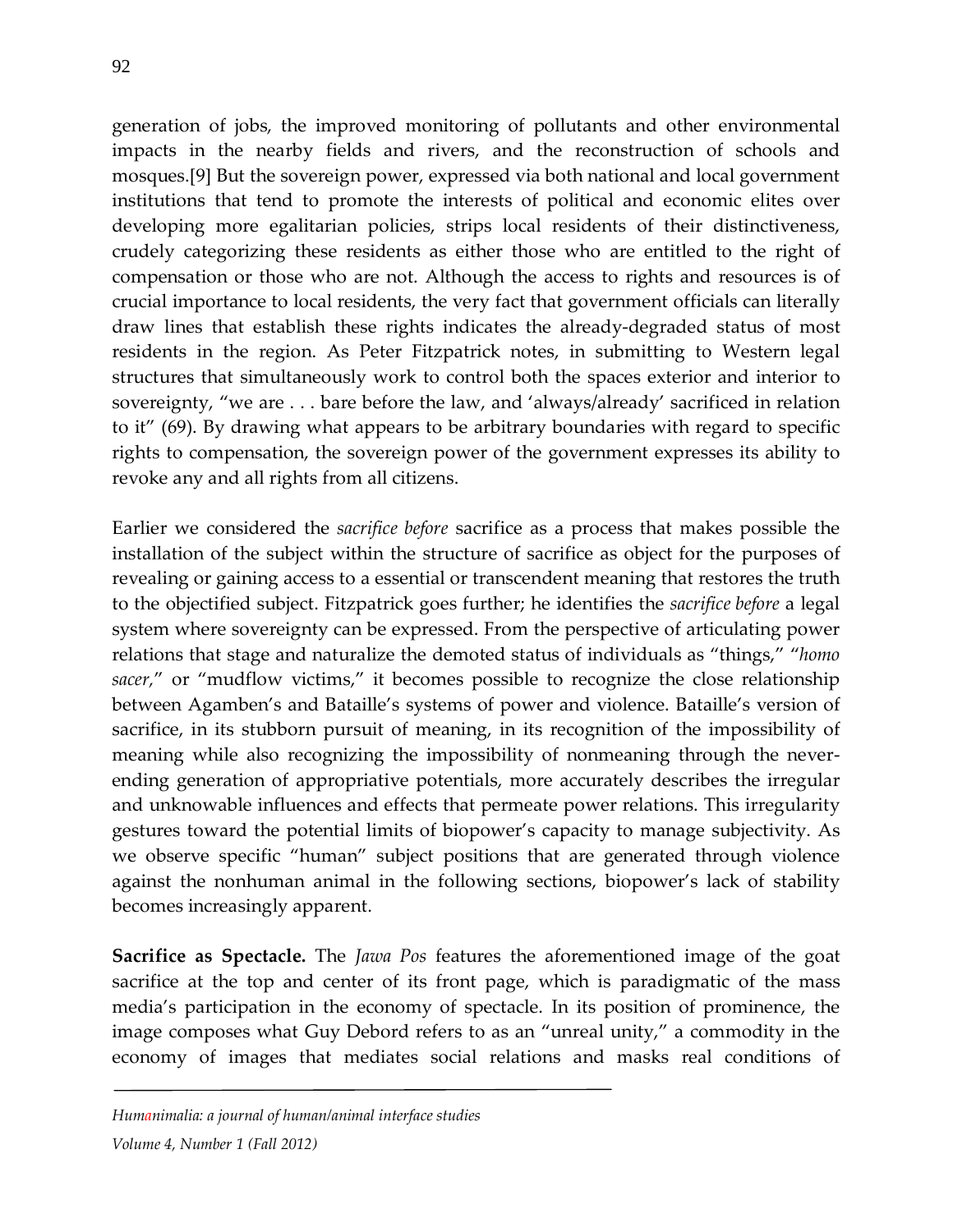generation of jobs, the improved monitoring of pollutants and other environmental impacts in the nearby fields and rivers, and the reconstruction of schools and mosques.[9] But the sovereign power, expressed via both national and local government institutions that tend to promote the interests of political and economic elites over developing more egalitarian policies, strips local residents of their distinctiveness, crudely categorizing these residents as either those who are entitled to the right of compensation or those who are not. Although the access to rights and resources is of crucial importance to local residents, the very fact that government officials can literally draw lines that establish these rights indicates the already-degraded status of most residents in the region. As Peter Fitzpatrick notes, in submitting to Western legal structures that simultaneously work to control both the spaces exterior and interior to sovereignty, "we are . . . bare before the law, and 'always/already' sacrificed in relation to it" (69). By drawing what appears to be arbitrary boundaries with regard to specific rights to compensation, the sovereign power of the government expresses its ability to revoke any and all rights from all citizens.

Earlier we considered the *sacrifice before* sacrifice as a process that makes possible the installation of the subject within the structure of sacrifice as object for the purposes of revealing or gaining access to a essential or transcendent meaning that restores the truth to the objectified subject. Fitzpatrick goes further; he identifies the *sacrifice before* a legal system where sovereignty can be expressed. From the perspective of articulating power relations that stage and naturalize the demoted status of individuals as "things," "*homo sacer,*" or "mudflow victims," it becomes possible to recognize the close relationship between Agamben's and Bataille's systems of power and violence. Bataille's version of sacrifice, in its stubborn pursuit of meaning, in its recognition of the impossibility of meaning while also recognizing the impossibility of nonmeaning through the neverending generation of appropriative potentials, more accurately describes the irregular and unknowable influences and effects that permeate power relations. This irregularity gestures toward the potential limits of biopower's capacity to manage subjectivity. As we observe specific "human" subject positions that are generated through violence against the nonhuman animal in the following sections, biopower's lack of stability becomes increasingly apparent.

**Sacrifice as Spectacle.** The *Jawa Pos* features the aforementioned image of the goat sacrifice at the top and center of its front page, which is paradigmatic of the mass media's participation in the economy of spectacle. In its position of prominence, the image composes what Guy Debord refers to as an "unreal unity," a commodity in the economy of images that mediates social relations and masks real conditions of

*Humanimalia: a journal of human/animal interface studies*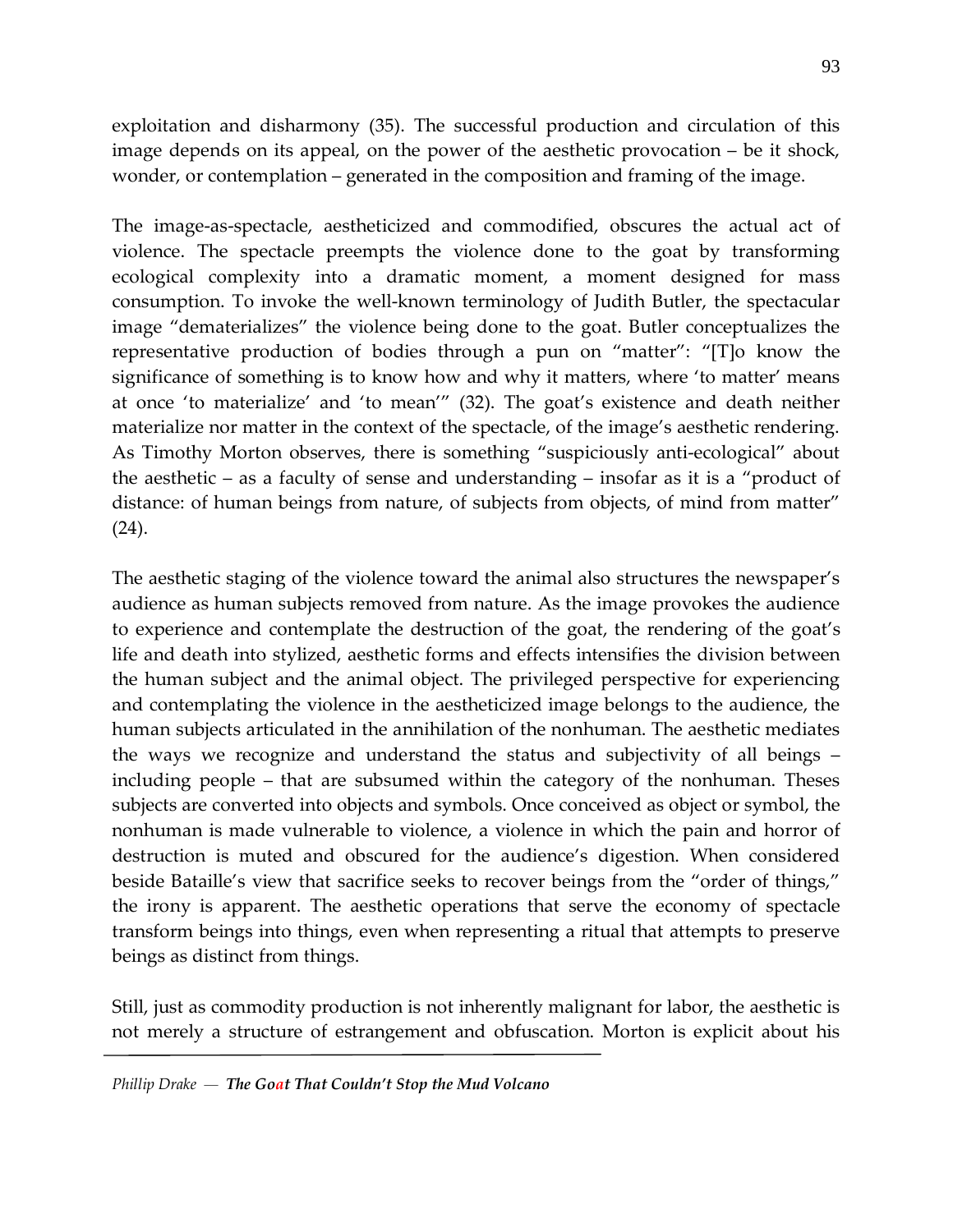exploitation and disharmony (35). The successful production and circulation of this image depends on its appeal, on the power of the aesthetic provocation – be it shock, wonder, or contemplation – generated in the composition and framing of the image.

The image-as-spectacle, aestheticized and commodified, obscures the actual act of violence. The spectacle preempts the violence done to the goat by transforming ecological complexity into a dramatic moment, a moment designed for mass consumption. To invoke the well-known terminology of Judith Butler, the spectacular image "dematerializes" the violence being done to the goat. Butler conceptualizes the representative production of bodies through a pun on "matter": "[T]o know the significance of something is to know how and why it matters, where 'to matter' means at once 'to materialize' and 'to mean'" (32). The goat's existence and death neither materialize nor matter in the context of the spectacle, of the image's aesthetic rendering. As Timothy Morton observes, there is something "suspiciously anti-ecological" about the aesthetic – as a faculty of sense and understanding – insofar as it is a "product of distance: of human beings from nature, of subjects from objects, of mind from matter" (24).

The aesthetic staging of the violence toward the animal also structures the newspaper's audience as human subjects removed from nature. As the image provokes the audience to experience and contemplate the destruction of the goat, the rendering of the goat's life and death into stylized, aesthetic forms and effects intensifies the division between the human subject and the animal object. The privileged perspective for experiencing and contemplating the violence in the aestheticized image belongs to the audience, the human subjects articulated in the annihilation of the nonhuman. The aesthetic mediates the ways we recognize and understand the status and subjectivity of all beings – including people – that are subsumed within the category of the nonhuman. Theses subjects are converted into objects and symbols. Once conceived as object or symbol, the nonhuman is made vulnerable to violence, a violence in which the pain and horror of destruction is muted and obscured for the audience's digestion. When considered beside Bataille's view that sacrifice seeks to recover beings from the "order of things," the irony is apparent. The aesthetic operations that serve the economy of spectacle transform beings into things, even when representing a ritual that attempts to preserve beings as distinct from things.

Still, just as commodity production is not inherently malignant for labor, the aesthetic is not merely a structure of estrangement and obfuscation. Morton is explicit about his

*Phillip Drake — The Goat That Couldn't Stop the Mud Volcano*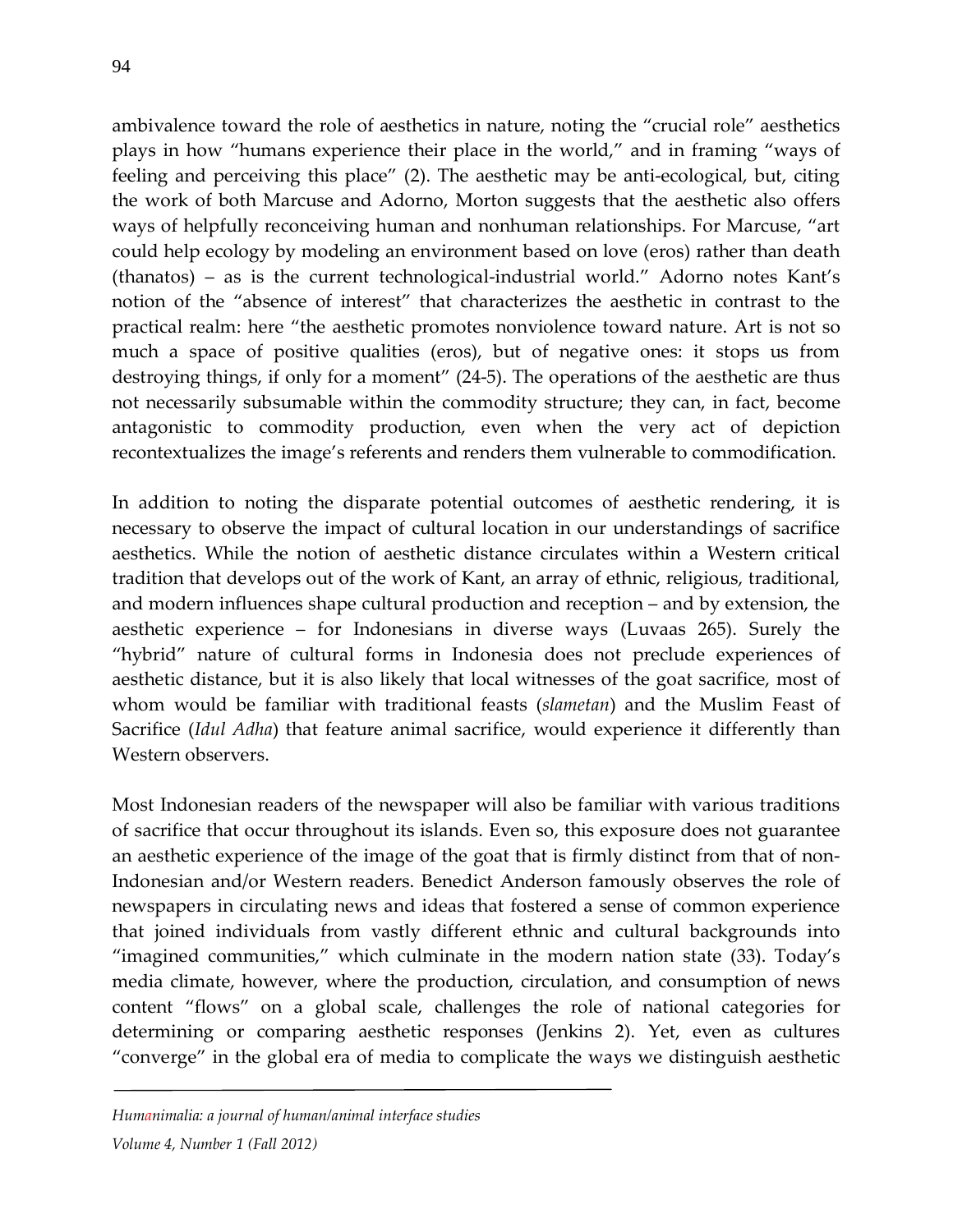ambivalence toward the role of aesthetics in nature, noting the "crucial role" aesthetics plays in how "humans experience their place in the world," and in framing "ways of feeling and perceiving this place" (2). The aesthetic may be anti-ecological, but, citing the work of both Marcuse and Adorno, Morton suggests that the aesthetic also offers ways of helpfully reconceiving human and nonhuman relationships. For Marcuse, "art could help ecology by modeling an environment based on love (eros) rather than death (thanatos) – as is the current technological-industrial world." Adorno notes Kant's notion of the "absence of interest" that characterizes the aesthetic in contrast to the practical realm: here "the aesthetic promotes nonviolence toward nature. Art is not so much a space of positive qualities (eros), but of negative ones: it stops us from destroying things, if only for a moment" (24-5). The operations of the aesthetic are thus not necessarily subsumable within the commodity structure; they can, in fact, become antagonistic to commodity production, even when the very act of depiction recontextualizes the image's referents and renders them vulnerable to commodification.

In addition to noting the disparate potential outcomes of aesthetic rendering, it is necessary to observe the impact of cultural location in our understandings of sacrifice aesthetics. While the notion of aesthetic distance circulates within a Western critical tradition that develops out of the work of Kant, an array of ethnic, religious, traditional, and modern influences shape cultural production and reception – and by extension, the aesthetic experience – for Indonesians in diverse ways (Luvaas 265). Surely the "hybrid" nature of cultural forms in Indonesia does not preclude experiences of aesthetic distance, but it is also likely that local witnesses of the goat sacrifice, most of whom would be familiar with traditional feasts (*slametan*) and the Muslim Feast of Sacrifice (*Idul Adha*) that feature animal sacrifice, would experience it differently than Western observers.

Most Indonesian readers of the newspaper will also be familiar with various traditions of sacrifice that occur throughout its islands. Even so, this exposure does not guarantee an aesthetic experience of the image of the goat that is firmly distinct from that of non-Indonesian and/or Western readers. Benedict Anderson famously observes the role of newspapers in circulating news and ideas that fostered a sense of common experience that joined individuals from vastly different ethnic and cultural backgrounds into "imagined communities," which culminate in the modern nation state (33). Today's media climate, however, where the production, circulation, and consumption of news content "flows" on a global scale, challenges the role of national categories for determining or comparing aesthetic responses (Jenkins 2). Yet, even as cultures "converge" in the global era of media to complicate the ways we distinguish aesthetic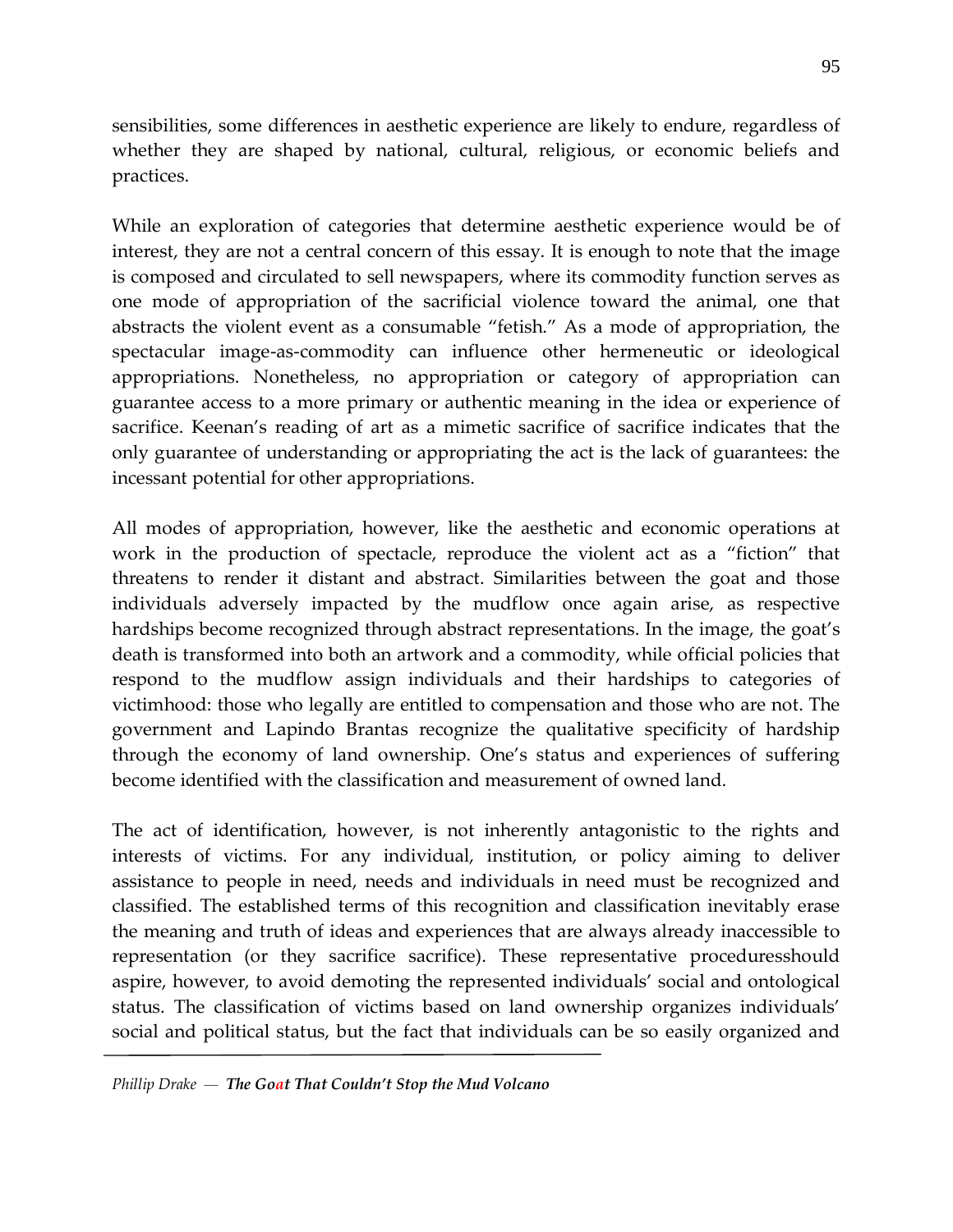sensibilities, some differences in aesthetic experience are likely to endure, regardless of whether they are shaped by national, cultural, religious, or economic beliefs and practices.

While an exploration of categories that determine aesthetic experience would be of interest, they are not a central concern of this essay. It is enough to note that the image is composed and circulated to sell newspapers, where its commodity function serves as one mode of appropriation of the sacrificial violence toward the animal, one that abstracts the violent event as a consumable "fetish." As a mode of appropriation, the spectacular image-as-commodity can influence other hermeneutic or ideological appropriations. Nonetheless, no appropriation or category of appropriation can guarantee access to a more primary or authentic meaning in the idea or experience of sacrifice. Keenan's reading of art as a mimetic sacrifice of sacrifice indicates that the only guarantee of understanding or appropriating the act is the lack of guarantees: the incessant potential for other appropriations.

All modes of appropriation, however, like the aesthetic and economic operations at work in the production of spectacle, reproduce the violent act as a "fiction" that threatens to render it distant and abstract. Similarities between the goat and those individuals adversely impacted by the mudflow once again arise, as respective hardships become recognized through abstract representations. In the image, the goat's death is transformed into both an artwork and a commodity, while official policies that respond to the mudflow assign individuals and their hardships to categories of victimhood: those who legally are entitled to compensation and those who are not. The government and Lapindo Brantas recognize the qualitative specificity of hardship through the economy of land ownership. One's status and experiences of suffering become identified with the classification and measurement of owned land.

The act of identification, however, is not inherently antagonistic to the rights and interests of victims. For any individual, institution, or policy aiming to deliver assistance to people in need, needs and individuals in need must be recognized and classified. The established terms of this recognition and classification inevitably erase the meaning and truth of ideas and experiences that are always already inaccessible to representation (or they sacrifice sacrifice). These representative proceduresshould aspire, however, to avoid demoting the represented individuals' social and ontological status. The classification of victims based on land ownership organizes individuals' social and political status, but the fact that individuals can be so easily organized and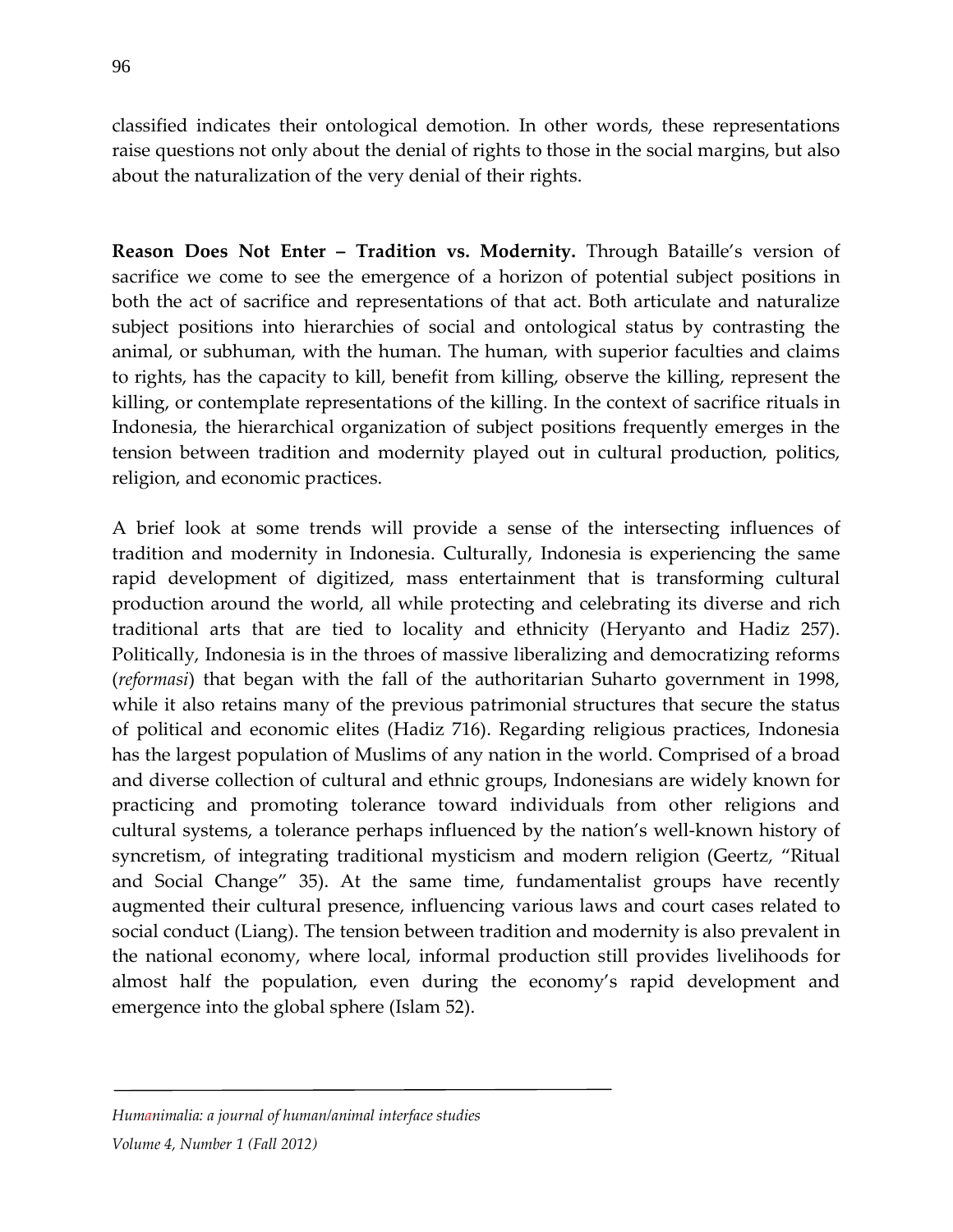classified indicates their ontological demotion. In other words, these representations raise questions not only about the denial of rights to those in the social margins, but also about the naturalization of the very denial of their rights.

**Reason Does Not Enter – Tradition vs. Modernity.** Through Bataille's version of sacrifice we come to see the emergence of a horizon of potential subject positions in both the act of sacrifice and representations of that act. Both articulate and naturalize subject positions into hierarchies of social and ontological status by contrasting the animal, or subhuman, with the human. The human, with superior faculties and claims to rights, has the capacity to kill, benefit from killing, observe the killing, represent the killing, or contemplate representations of the killing. In the context of sacrifice rituals in Indonesia, the hierarchical organization of subject positions frequently emerges in the tension between tradition and modernity played out in cultural production, politics, religion, and economic practices.

A brief look at some trends will provide a sense of the intersecting influences of tradition and modernity in Indonesia. Culturally, Indonesia is experiencing the same rapid development of digitized, mass entertainment that is transforming cultural production around the world, all while protecting and celebrating its diverse and rich traditional arts that are tied to locality and ethnicity (Heryanto and Hadiz 257). Politically, Indonesia is in the throes of massive liberalizing and democratizing reforms (*reformasi*) that began with the fall of the authoritarian Suharto government in 1998, while it also retains many of the previous patrimonial structures that secure the status of political and economic elites (Hadiz 716). Regarding religious practices, Indonesia has the largest population of Muslims of any nation in the world. Comprised of a broad and diverse collection of cultural and ethnic groups, Indonesians are widely known for practicing and promoting tolerance toward individuals from other religions and cultural systems, a tolerance perhaps influenced by the nation's well-known history of syncretism, of integrating traditional mysticism and modern religion (Geertz, "Ritual and Social Change" 35). At the same time, fundamentalist groups have recently augmented their cultural presence, influencing various laws and court cases related to social conduct (Liang). The tension between tradition and modernity is also prevalent in the national economy, where local, informal production still provides livelihoods for almost half the population, even during the economy's rapid development and emergence into the global sphere (Islam 52).

#### *Humanimalia: a journal of human/animal interface studies*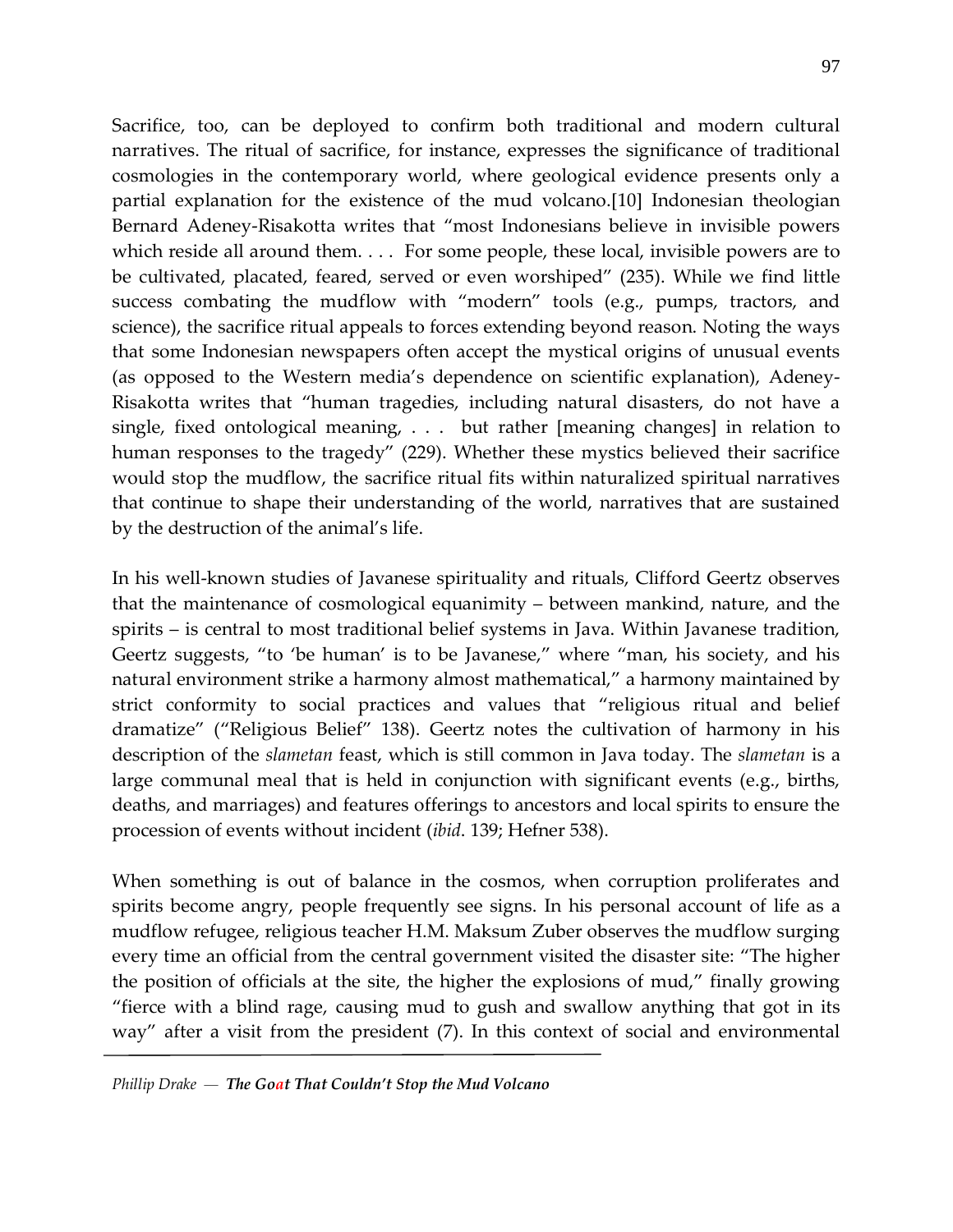Sacrifice, too, can be deployed to confirm both traditional and modern cultural narratives. The ritual of sacrifice, for instance, expresses the significance of traditional cosmologies in the contemporary world, where geological evidence presents only a partial explanation for the existence of the mud volcano.[10] Indonesian theologian Bernard Adeney-Risakotta writes that "most Indonesians believe in invisible powers which reside all around them. . . . For some people, these local, invisible powers are to be cultivated, placated, feared, served or even worshiped" (235). While we find little success combating the mudflow with "modern" tools (e.g., pumps, tractors, and science), the sacrifice ritual appeals to forces extending beyond reason. Noting the ways that some Indonesian newspapers often accept the mystical origins of unusual events (as opposed to the Western media's dependence on scientific explanation), Adeney-Risakotta writes that "human tragedies, including natural disasters, do not have a single, fixed ontological meaning, . . . but rather [meaning changes] in relation to human responses to the tragedy" (229). Whether these mystics believed their sacrifice would stop the mudflow, the sacrifice ritual fits within naturalized spiritual narratives that continue to shape their understanding of the world, narratives that are sustained by the destruction of the animal's life.

In his well-known studies of Javanese spirituality and rituals, Clifford Geertz observes that the maintenance of cosmological equanimity – between mankind, nature, and the spirits – is central to most traditional belief systems in Java. Within Javanese tradition, Geertz suggests, "to 'be human' is to be Javanese," where "man, his society, and his natural environment strike a harmony almost mathematical," a harmony maintained by strict conformity to social practices and values that "religious ritual and belief dramatize" ("Religious Belief" 138). Geertz notes the cultivation of harmony in his description of the *slametan* feast, which is still common in Java today. The *slametan* is a large communal meal that is held in conjunction with significant events (e.g., births, deaths, and marriages) and features offerings to ancestors and local spirits to ensure the procession of events without incident (*ibid*. 139; Hefner 538).

When something is out of balance in the cosmos, when corruption proliferates and spirits become angry, people frequently see signs. In his personal account of life as a mudflow refugee, religious teacher H.M. Maksum Zuber observes the mudflow surging every time an official from the central government visited the disaster site: "The higher the position of officials at the site, the higher the explosions of mud," finally growing "fierce with a blind rage, causing mud to gush and swallow anything that got in its way" after a visit from the president (7). In this context of social and environmental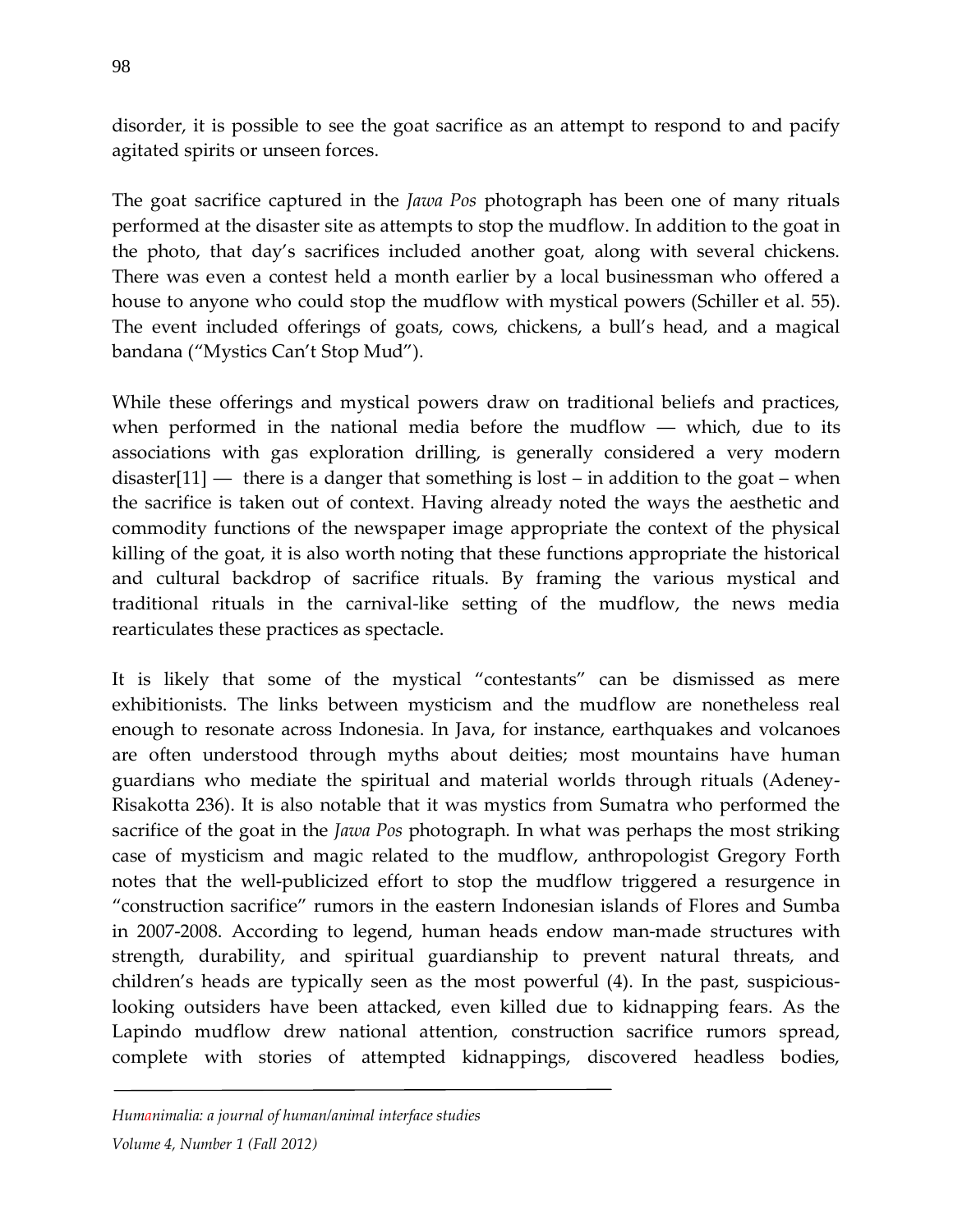disorder, it is possible to see the goat sacrifice as an attempt to respond to and pacify agitated spirits or unseen forces.

The goat sacrifice captured in the *Jawa Pos* photograph has been one of many rituals performed at the disaster site as attempts to stop the mudflow. In addition to the goat in the photo, that day's sacrifices included another goat, along with several chickens. There was even a contest held a month earlier by a local businessman who offered a house to anyone who could stop the mudflow with mystical powers (Schiller et al. 55). The event included offerings of goats, cows, chickens, a bull's head, and a magical bandana ("Mystics Can't Stop Mud").

While these offerings and mystical powers draw on traditional beliefs and practices, when performed in the national media before the mudflow  $-$  which, due to its associations with gas exploration drilling, is generally considered a very modern disaster $[11]$  — there is a danger that something is lost – in addition to the goat – when the sacrifice is taken out of context. Having already noted the ways the aesthetic and commodity functions of the newspaper image appropriate the context of the physical killing of the goat, it is also worth noting that these functions appropriate the historical and cultural backdrop of sacrifice rituals. By framing the various mystical and traditional rituals in the carnival-like setting of the mudflow, the news media rearticulates these practices as spectacle.

It is likely that some of the mystical "contestants" can be dismissed as mere exhibitionists. The links between mysticism and the mudflow are nonetheless real enough to resonate across Indonesia. In Java, for instance, earthquakes and volcanoes are often understood through myths about deities; most mountains have human guardians who mediate the spiritual and material worlds through rituals (Adeney-Risakotta 236). It is also notable that it was mystics from Sumatra who performed the sacrifice of the goat in the *Jawa Pos* photograph. In what was perhaps the most striking case of mysticism and magic related to the mudflow, anthropologist Gregory Forth notes that the well-publicized effort to stop the mudflow triggered a resurgence in "construction sacrifice" rumors in the eastern Indonesian islands of Flores and Sumba in 2007-2008. According to legend, human heads endow man-made structures with strength, durability, and spiritual guardianship to prevent natural threats, and children's heads are typically seen as the most powerful (4). In the past, suspiciouslooking outsiders have been attacked, even killed due to kidnapping fears. As the Lapindo mudflow drew national attention, construction sacrifice rumors spread, complete with stories of attempted kidnappings, discovered headless bodies,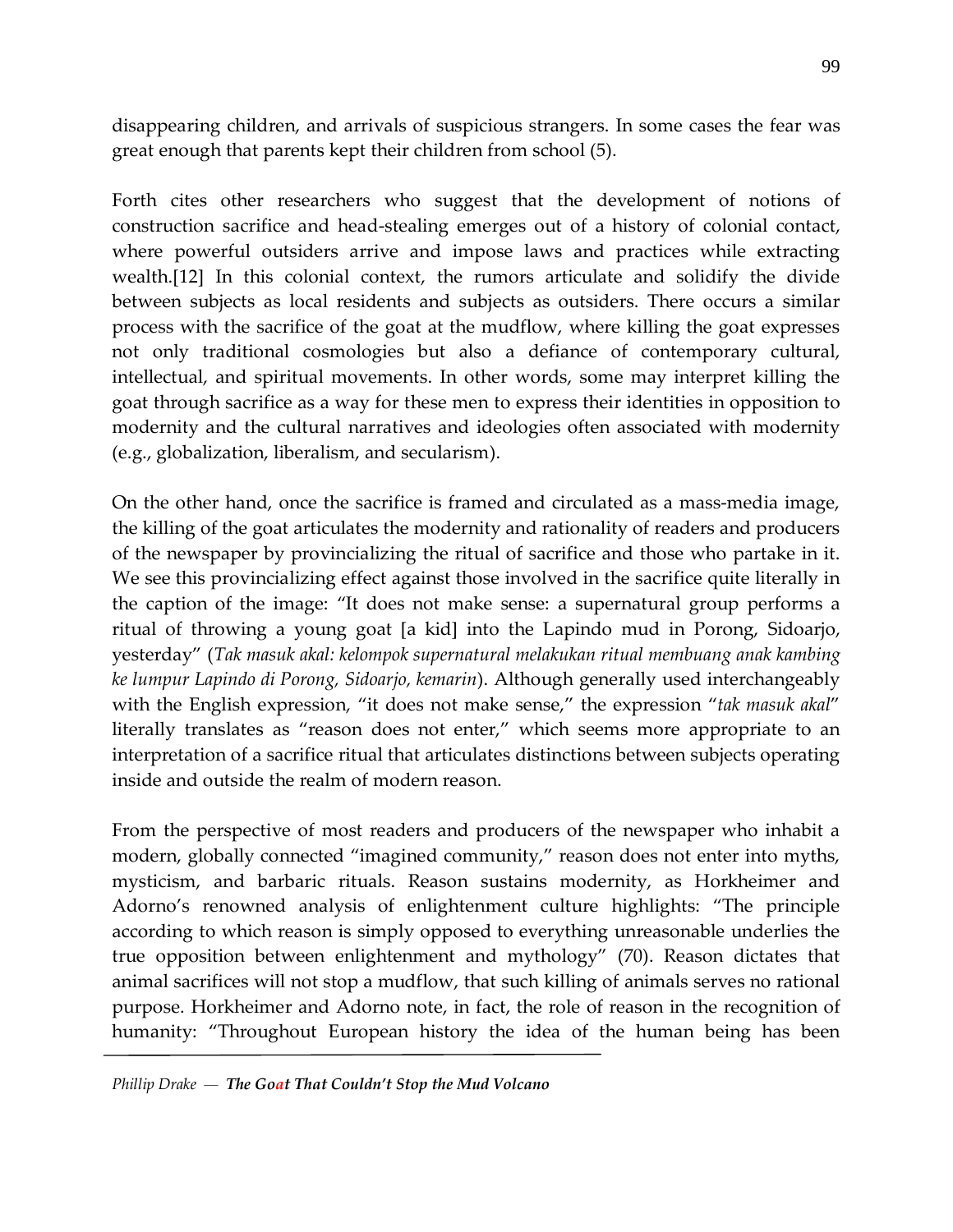disappearing children, and arrivals of suspicious strangers. In some cases the fear was great enough that parents kept their children from school (5).

Forth cites other researchers who suggest that the development of notions of construction sacrifice and head-stealing emerges out of a history of colonial contact, where powerful outsiders arrive and impose laws and practices while extracting wealth.[12] In this colonial context, the rumors articulate and solidify the divide between subjects as local residents and subjects as outsiders. There occurs a similar process with the sacrifice of the goat at the mudflow, where killing the goat expresses not only traditional cosmologies but also a defiance of contemporary cultural, intellectual, and spiritual movements. In other words, some may interpret killing the goat through sacrifice as a way for these men to express their identities in opposition to modernity and the cultural narratives and ideologies often associated with modernity (e.g., globalization, liberalism, and secularism).

On the other hand, once the sacrifice is framed and circulated as a mass-media image, the killing of the goat articulates the modernity and rationality of readers and producers of the newspaper by provincializing the ritual of sacrifice and those who partake in it. We see this provincializing effect against those involved in the sacrifice quite literally in the caption of the image: "It does not make sense: a supernatural group performs a ritual of throwing a young goat [a kid] into the Lapindo mud in Porong, Sidoarjo, yesterday" (*Tak masuk akal: kelompok supernatural melakukan ritual membuang anak kambing ke lumpur Lapindo di Porong, Sidoarjo, kemarin*). Although generally used interchangeably with the English expression, "it does not make sense," the expression "*tak masuk akal*" literally translates as "reason does not enter," which seems more appropriate to an interpretation of a sacrifice ritual that articulates distinctions between subjects operating inside and outside the realm of modern reason.

From the perspective of most readers and producers of the newspaper who inhabit a modern, globally connected "imagined community," reason does not enter into myths, mysticism, and barbaric rituals. Reason sustains modernity, as Horkheimer and Adorno's renowned analysis of enlightenment culture highlights: "The principle according to which reason is simply opposed to everything unreasonable underlies the true opposition between enlightenment and mythology" (70). Reason dictates that animal sacrifices will not stop a mudflow, that such killing of animals serves no rational purpose. Horkheimer and Adorno note, in fact, the role of reason in the recognition of humanity: "Throughout European history the idea of the human being has been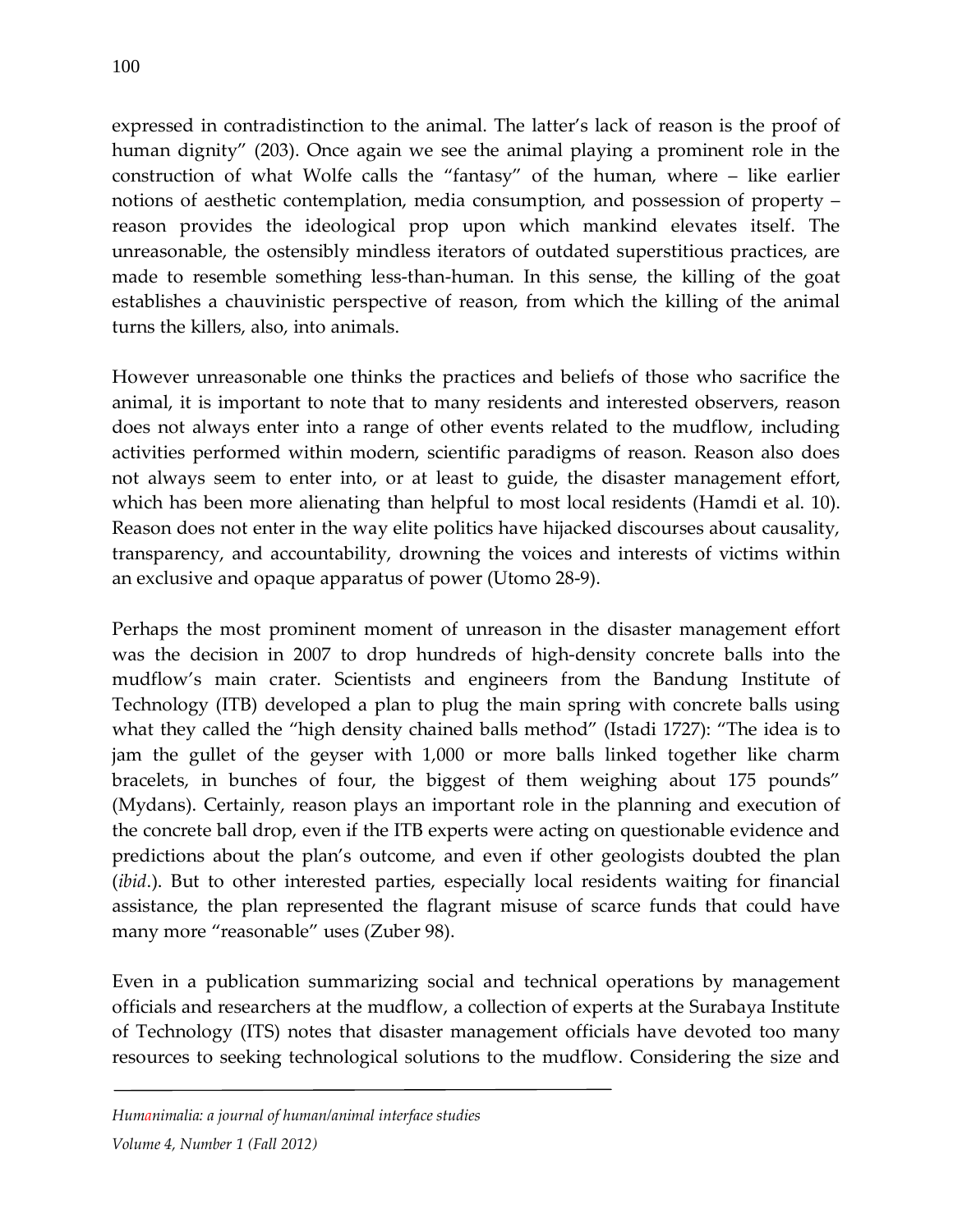expressed in contradistinction to the animal. The latter's lack of reason is the proof of human dignity" (203). Once again we see the animal playing a prominent role in the construction of what Wolfe calls the "fantasy" of the human, where – like earlier notions of aesthetic contemplation, media consumption, and possession of property – reason provides the ideological prop upon which mankind elevates itself. The unreasonable, the ostensibly mindless iterators of outdated superstitious practices, are made to resemble something less-than-human. In this sense, the killing of the goat establishes a chauvinistic perspective of reason, from which the killing of the animal turns the killers, also, into animals.

However unreasonable one thinks the practices and beliefs of those who sacrifice the animal, it is important to note that to many residents and interested observers, reason does not always enter into a range of other events related to the mudflow, including activities performed within modern, scientific paradigms of reason. Reason also does not always seem to enter into, or at least to guide, the disaster management effort, which has been more alienating than helpful to most local residents (Hamdi et al. 10). Reason does not enter in the way elite politics have hijacked discourses about causality, transparency, and accountability, drowning the voices and interests of victims within an exclusive and opaque apparatus of power (Utomo 28-9).

Perhaps the most prominent moment of unreason in the disaster management effort was the decision in 2007 to drop hundreds of high-density concrete balls into the mudflow's main crater. Scientists and engineers from the Bandung Institute of Technology (ITB) developed a plan to plug the main spring with concrete balls using what they called the "high density chained balls method" (Istadi 1727): "The idea is to jam the gullet of the geyser with 1,000 or more balls linked together like charm bracelets, in bunches of four, the biggest of them weighing about 175 pounds" (Mydans). Certainly, reason plays an important role in the planning and execution of the concrete ball drop, even if the ITB experts were acting on questionable evidence and predictions about the plan's outcome, and even if other geologists doubted the plan (*ibid*.). But to other interested parties, especially local residents waiting for financial assistance, the plan represented the flagrant misuse of scarce funds that could have many more "reasonable" uses (Zuber 98).

Even in a publication summarizing social and technical operations by management officials and researchers at the mudflow, a collection of experts at the Surabaya Institute of Technology (ITS) notes that disaster management officials have devoted too many resources to seeking technological solutions to the mudflow. Considering the size and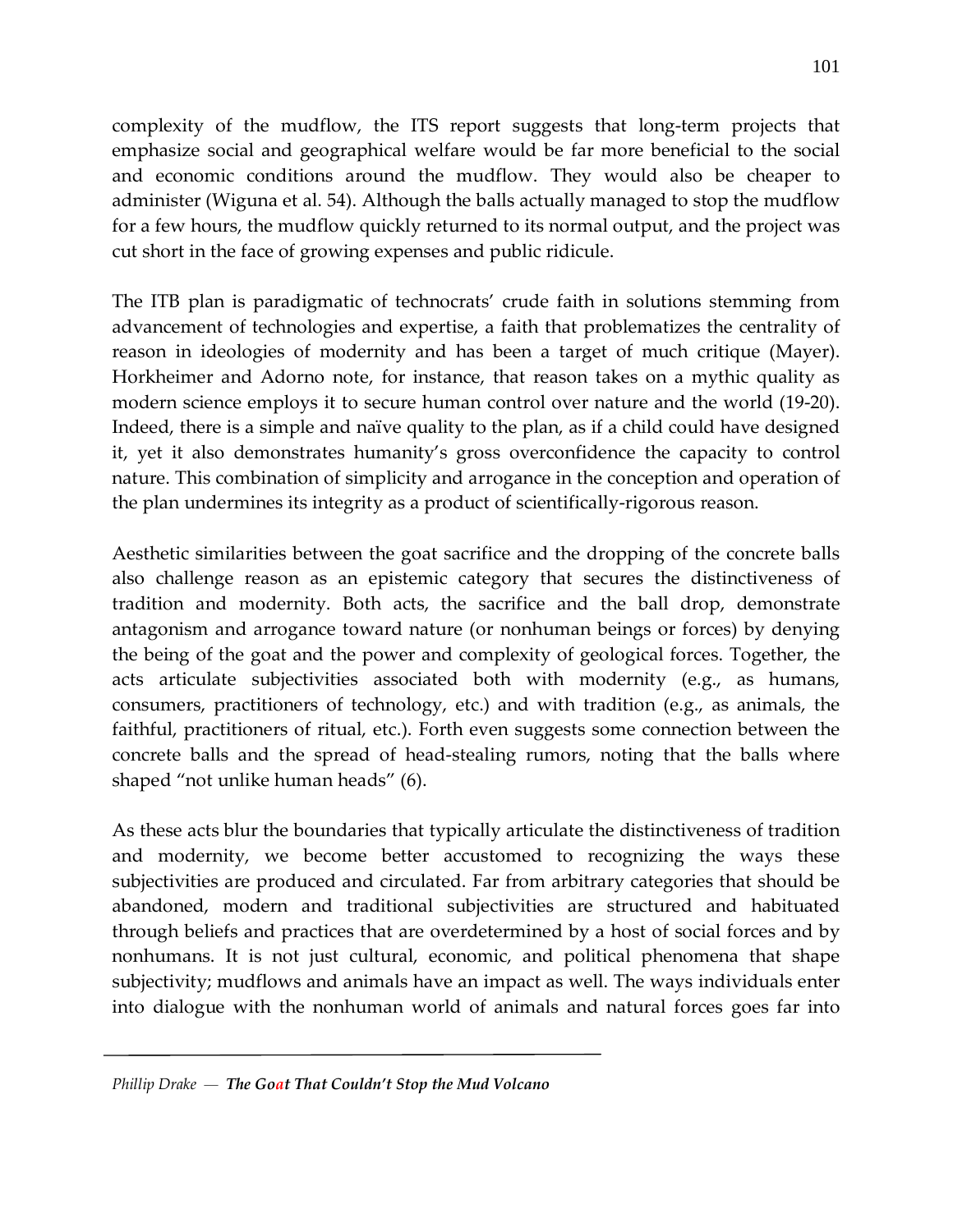complexity of the mudflow, the ITS report suggests that long-term projects that emphasize social and geographical welfare would be far more beneficial to the social and economic conditions around the mudflow. They would also be cheaper to administer (Wiguna et al. 54). Although the balls actually managed to stop the mudflow for a few hours, the mudflow quickly returned to its normal output, and the project was cut short in the face of growing expenses and public ridicule.

The ITB plan is paradigmatic of technocrats' crude faith in solutions stemming from advancement of technologies and expertise, a faith that problematizes the centrality of reason in ideologies of modernity and has been a target of much critique (Mayer). Horkheimer and Adorno note, for instance, that reason takes on a mythic quality as modern science employs it to secure human control over nature and the world (19-20). Indeed, there is a simple and naïve quality to the plan, as if a child could have designed it, yet it also demonstrates humanity's gross overconfidence the capacity to control nature. This combination of simplicity and arrogance in the conception and operation of the plan undermines its integrity as a product of scientifically-rigorous reason.

Aesthetic similarities between the goat sacrifice and the dropping of the concrete balls also challenge reason as an epistemic category that secures the distinctiveness of tradition and modernity. Both acts, the sacrifice and the ball drop, demonstrate antagonism and arrogance toward nature (or nonhuman beings or forces) by denying the being of the goat and the power and complexity of geological forces. Together, the acts articulate subjectivities associated both with modernity (e.g., as humans, consumers, practitioners of technology, etc.) and with tradition (e.g., as animals, the faithful, practitioners of ritual, etc.). Forth even suggests some connection between the concrete balls and the spread of head-stealing rumors, noting that the balls where shaped "not unlike human heads" (6).

As these acts blur the boundaries that typically articulate the distinctiveness of tradition and modernity, we become better accustomed to recognizing the ways these subjectivities are produced and circulated. Far from arbitrary categories that should be abandoned, modern and traditional subjectivities are structured and habituated through beliefs and practices that are overdetermined by a host of social forces and by nonhumans. It is not just cultural, economic, and political phenomena that shape subjectivity; mudflows and animals have an impact as well. The ways individuals enter into dialogue with the nonhuman world of animals and natural forces goes far into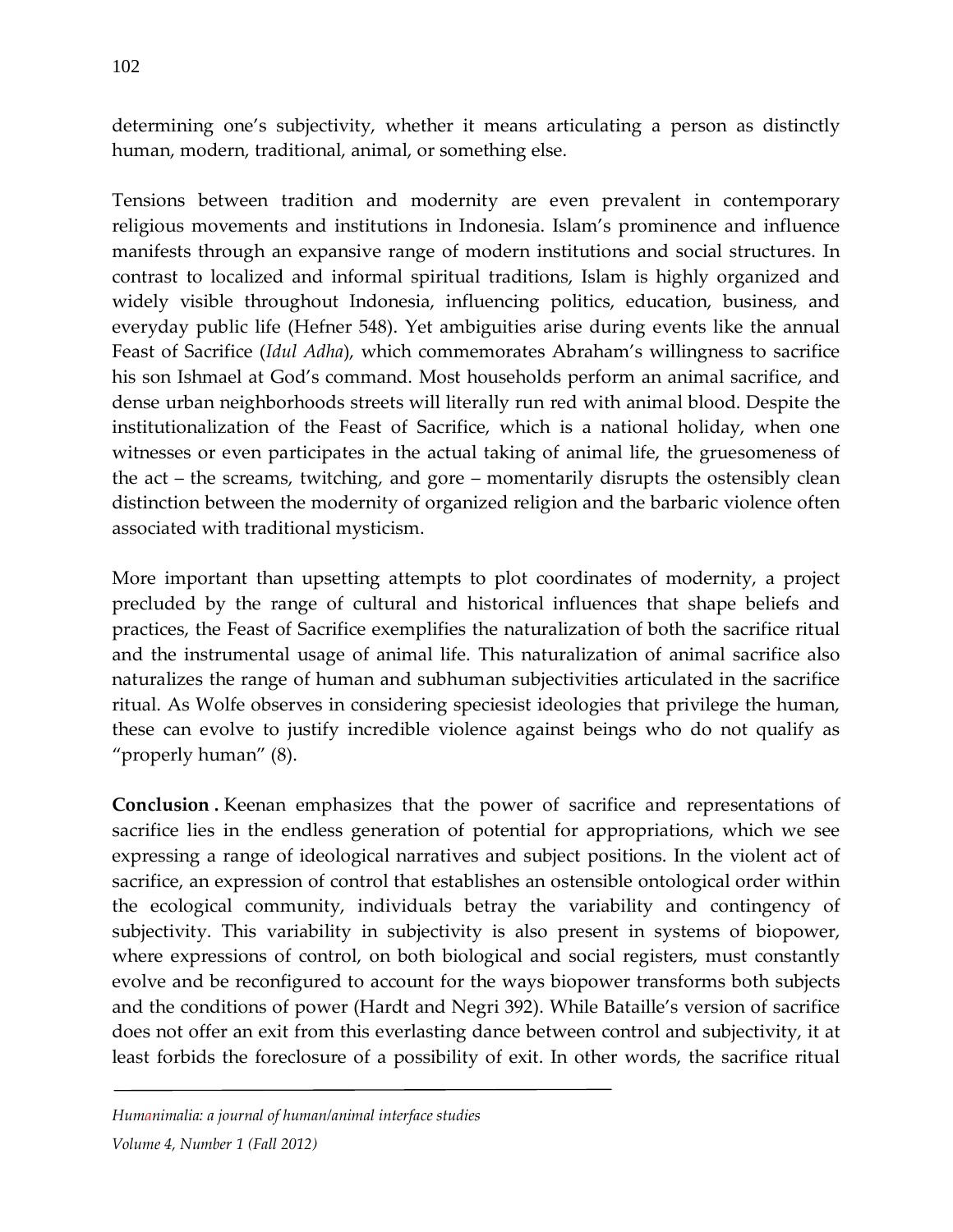determining one's subjectivity, whether it means articulating a person as distinctly human, modern, traditional, animal, or something else.

Tensions between tradition and modernity are even prevalent in contemporary religious movements and institutions in Indonesia. Islam's prominence and influence manifests through an expansive range of modern institutions and social structures. In contrast to localized and informal spiritual traditions, Islam is highly organized and widely visible throughout Indonesia, influencing politics, education, business, and everyday public life (Hefner 548). Yet ambiguities arise during events like the annual Feast of Sacrifice (*Idul Adha*), which commemorates Abraham's willingness to sacrifice his son Ishmael at God's command. Most households perform an animal sacrifice, and dense urban neighborhoods streets will literally run red with animal blood. Despite the institutionalization of the Feast of Sacrifice, which is a national holiday, when one witnesses or even participates in the actual taking of animal life, the gruesomeness of the act – the screams, twitching, and gore – momentarily disrupts the ostensibly clean distinction between the modernity of organized religion and the barbaric violence often associated with traditional mysticism.

More important than upsetting attempts to plot coordinates of modernity, a project precluded by the range of cultural and historical influences that shape beliefs and practices, the Feast of Sacrifice exemplifies the naturalization of both the sacrifice ritual and the instrumental usage of animal life. This naturalization of animal sacrifice also naturalizes the range of human and subhuman subjectivities articulated in the sacrifice ritual. As Wolfe observes in considering speciesist ideologies that privilege the human, these can evolve to justify incredible violence against beings who do not qualify as "properly human" (8).

**Conclusion .** Keenan emphasizes that the power of sacrifice and representations of sacrifice lies in the endless generation of potential for appropriations, which we see expressing a range of ideological narratives and subject positions. In the violent act of sacrifice, an expression of control that establishes an ostensible ontological order within the ecological community, individuals betray the variability and contingency of subjectivity. This variability in subjectivity is also present in systems of biopower, where expressions of control, on both biological and social registers, must constantly evolve and be reconfigured to account for the ways biopower transforms both subjects and the conditions of power (Hardt and Negri 392). While Bataille's version of sacrifice does not offer an exit from this everlasting dance between control and subjectivity, it at least forbids the foreclosure of a possibility of exit. In other words, the sacrifice ritual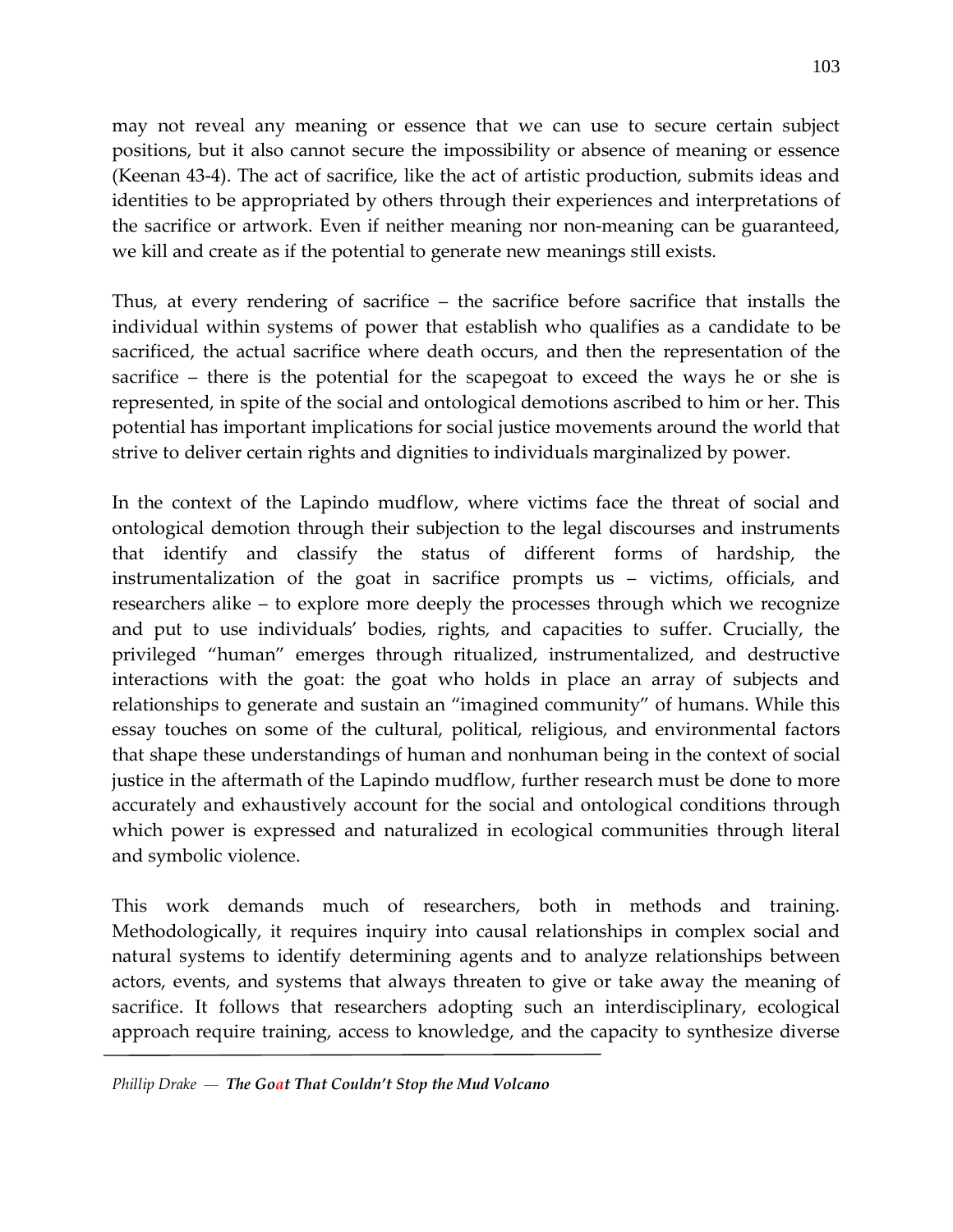may not reveal any meaning or essence that we can use to secure certain subject positions, but it also cannot secure the impossibility or absence of meaning or essence (Keenan 43-4). The act of sacrifice, like the act of artistic production, submits ideas and identities to be appropriated by others through their experiences and interpretations of the sacrifice or artwork. Even if neither meaning nor non-meaning can be guaranteed, we kill and create as if the potential to generate new meanings still exists.

Thus, at every rendering of sacrifice – the sacrifice before sacrifice that installs the individual within systems of power that establish who qualifies as a candidate to be sacrificed, the actual sacrifice where death occurs, and then the representation of the sacrifice – there is the potential for the scapegoat to exceed the ways he or she is represented, in spite of the social and ontological demotions ascribed to him or her. This potential has important implications for social justice movements around the world that strive to deliver certain rights and dignities to individuals marginalized by power.

In the context of the Lapindo mudflow, where victims face the threat of social and ontological demotion through their subjection to the legal discourses and instruments that identify and classify the status of different forms of hardship, the instrumentalization of the goat in sacrifice prompts us – victims, officials, and researchers alike – to explore more deeply the processes through which we recognize and put to use individuals' bodies, rights, and capacities to suffer. Crucially, the privileged "human" emerges through ritualized, instrumentalized, and destructive interactions with the goat: the goat who holds in place an array of subjects and relationships to generate and sustain an "imagined community" of humans. While this essay touches on some of the cultural, political, religious, and environmental factors that shape these understandings of human and nonhuman being in the context of social justice in the aftermath of the Lapindo mudflow, further research must be done to more accurately and exhaustively account for the social and ontological conditions through which power is expressed and naturalized in ecological communities through literal and symbolic violence.

This work demands much of researchers, both in methods and training. Methodologically, it requires inquiry into causal relationships in complex social and natural systems to identify determining agents and to analyze relationships between actors, events, and systems that always threaten to give or take away the meaning of sacrifice. It follows that researchers adopting such an interdisciplinary, ecological approach require training, access to knowledge, and the capacity to synthesize diverse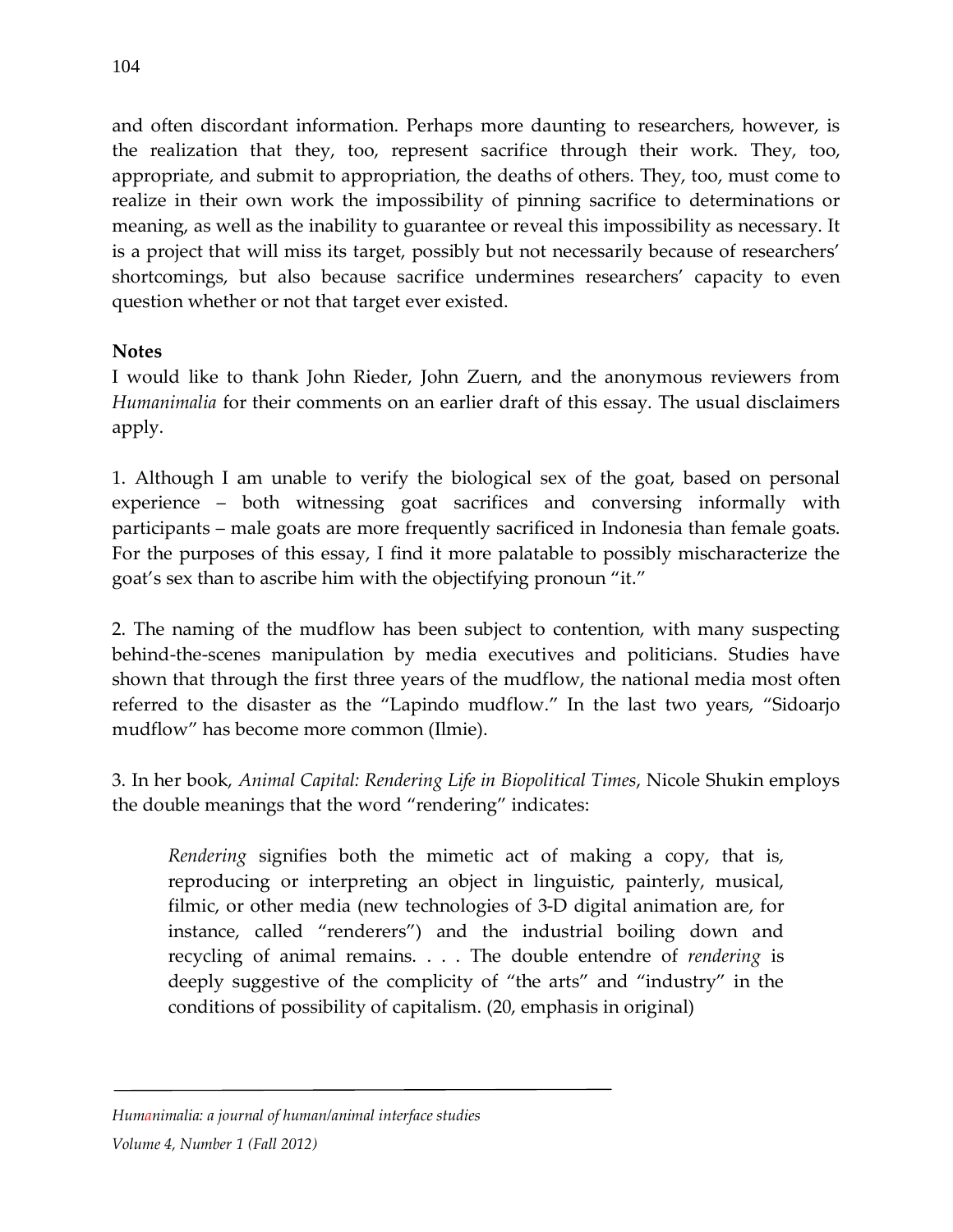and often discordant information. Perhaps more daunting to researchers, however, is the realization that they, too, represent sacrifice through their work. They, too, appropriate, and submit to appropriation, the deaths of others. They, too, must come to realize in their own work the impossibility of pinning sacrifice to determinations or meaning, as well as the inability to guarantee or reveal this impossibility as necessary. It is a project that will miss its target, possibly but not necessarily because of researchers' shortcomings, but also because sacrifice undermines researchers' capacity to even question whether or not that target ever existed.

## **Notes**

I would like to thank John Rieder, John Zuern, and the anonymous reviewers from *Humanimalia* for their comments on an earlier draft of this essay. The usual disclaimers apply.

1. Although I am unable to verify the biological sex of the goat, based on personal experience – both witnessing goat sacrifices and conversing informally with participants – male goats are more frequently sacrificed in Indonesia than female goats. For the purposes of this essay, I find it more palatable to possibly mischaracterize the goat's sex than to ascribe him with the objectifying pronoun "it."

2. The naming of the mudflow has been subject to contention, with many suspecting behind-the-scenes manipulation by media executives and politicians. Studies have shown that through the first three years of the mudflow, the national media most often referred to the disaster as the "Lapindo mudflow." In the last two years, "Sidoarjo mudflow" has become more common (Ilmie).

3. In her book, *Animal Capital: Rendering Life in Biopolitical Times*, Nicole Shukin employs the double meanings that the word "rendering" indicates:

*Rendering* signifies both the mimetic act of making a copy, that is, reproducing or interpreting an object in linguistic, painterly, musical, filmic, or other media (new technologies of 3-D digital animation are, for instance, called "renderers") and the industrial boiling down and recycling of animal remains. . . . The double entendre of *rendering* is deeply suggestive of the complicity of "the arts" and "industry" in the conditions of possibility of capitalism. (20, emphasis in original)

*Humanimalia: a journal of human/animal interface studies*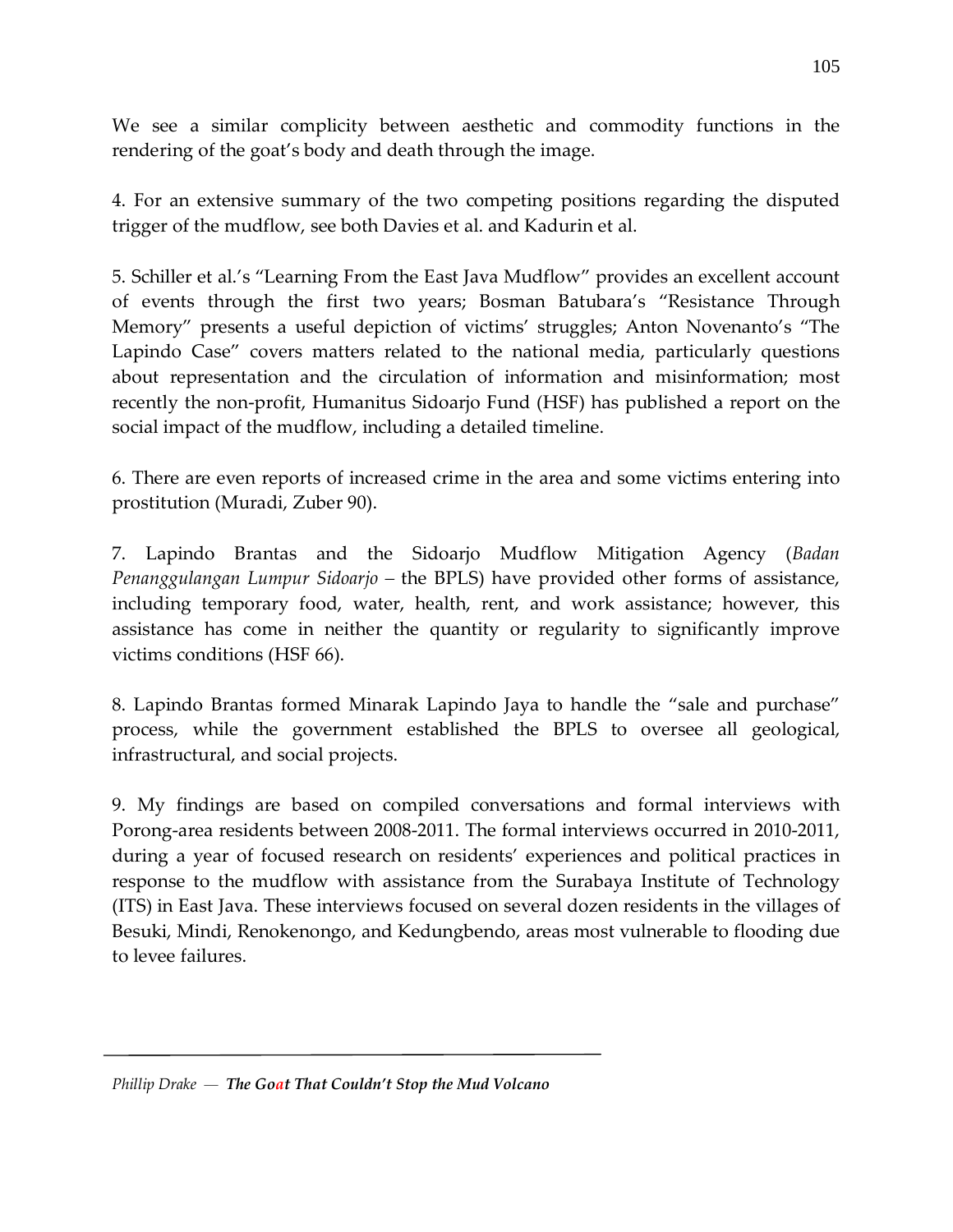We see a similar complicity between aesthetic and commodity functions in the rendering of the goat's body and death through the image.

4. For an extensive summary of the two competing positions regarding the disputed trigger of the mudflow, see both Davies et al. and Kadurin et al.

5. Schiller et al.'s "Learning From the East Java Mudflow" provides an excellent account of events through the first two years; Bosman Batubara's "Resistance Through Memory" presents a useful depiction of victims' struggles; Anton Novenanto's "The Lapindo Case" covers matters related to the national media, particularly questions about representation and the circulation of information and misinformation; most recently the non-profit, Humanitus Sidoarjo Fund (HSF) has published a report on the social impact of the mudflow, including a detailed timeline.

6. There are even reports of increased crime in the area and some victims entering into prostitution (Muradi, Zuber 90).

7. Lapindo Brantas and the Sidoarjo Mudflow Mitigation Agency (*Badan Penanggulangan Lumpur Sidoarjo –* the BPLS) have provided other forms of assistance, including temporary food, water, health, rent, and work assistance; however, this assistance has come in neither the quantity or regularity to significantly improve victims conditions (HSF 66).

8. Lapindo Brantas formed Minarak Lapindo Jaya to handle the "sale and purchase" process, while the government established the BPLS to oversee all geological, infrastructural, and social projects.

9. My findings are based on compiled conversations and formal interviews with Porong-area residents between 2008-2011. The formal interviews occurred in 2010-2011, during a year of focused research on residents' experiences and political practices in response to the mudflow with assistance from the Surabaya Institute of Technology (ITS) in East Java. These interviews focused on several dozen residents in the villages of Besuki, Mindi, Renokenongo, and Kedungbendo, areas most vulnerable to flooding due to levee failures.

*Phillip Drake — The Goat That Couldn't Stop the Mud Volcano*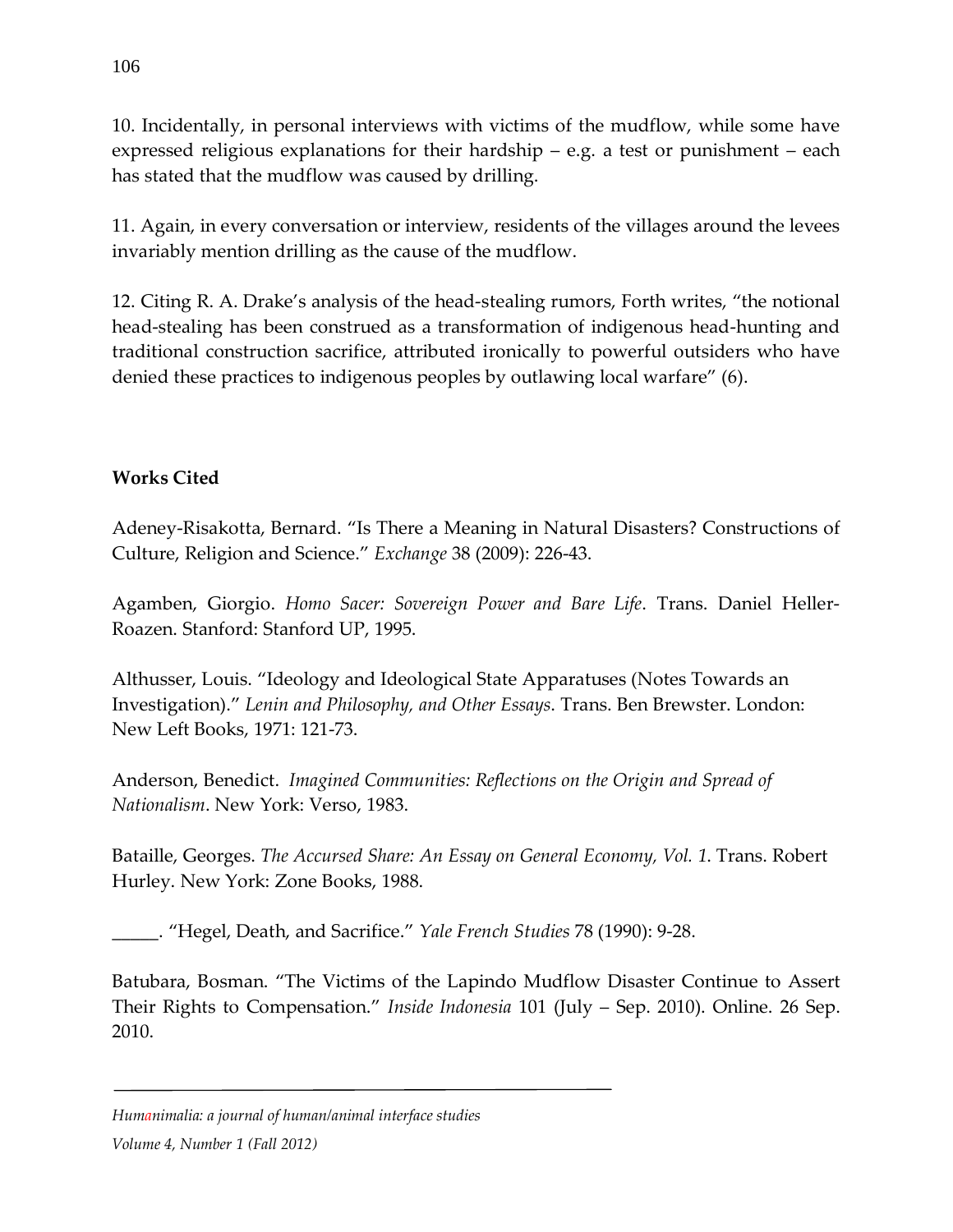10. Incidentally, in personal interviews with victims of the mudflow, while some have expressed religious explanations for their hardship – e.g. a test or punishment – each has stated that the mudflow was caused by drilling.

11. Again, in every conversation or interview, residents of the villages around the levees invariably mention drilling as the cause of the mudflow.

12. Citing R. A. Drake's analysis of the head-stealing rumors, Forth writes, "the notional head-stealing has been construed as a transformation of indigenous head-hunting and traditional construction sacrifice, attributed ironically to powerful outsiders who have denied these practices to indigenous peoples by outlawing local warfare" (6).

## **Works Cited**

Adeney-Risakotta, Bernard. "Is There a Meaning in Natural Disasters? Constructions of Culture, Religion and Science." *Exchange* 38 (2009): 226-43.

Agamben, Giorgio. *Homo Sacer: Sovereign Power and Bare Life*. Trans. Daniel Heller-Roazen. Stanford: Stanford UP, 1995.

Althusser, Louis. "Ideology and Ideological State Apparatuses (Notes Towards an Investigation)." *Lenin and Philosophy, and Other Essays*. Trans. Ben Brewster. London: New Left Books, 1971: 121-73.

Anderson, Benedict. *Imagined Communities: Reflections on the Origin and Spread of Nationalism*. New York: Verso, 1983.

Bataille, Georges. *The Accursed Share: An Essay on General Economy, Vol. 1*. Trans. Robert Hurley. New York: Zone Books, 1988.

\_\_\_\_\_. "Hegel, Death, and Sacrifice." *Yale French Studies* 78 (1990): 9-28.

Batubara, Bosman. "The Victims of the Lapindo Mudflow Disaster Continue to Assert Their Rights to Compensation." *Inside Indonesia* 101 (July – Sep. 2010). Online. 26 Sep. 2010.

*Humanimalia: a journal of human/animal interface studies*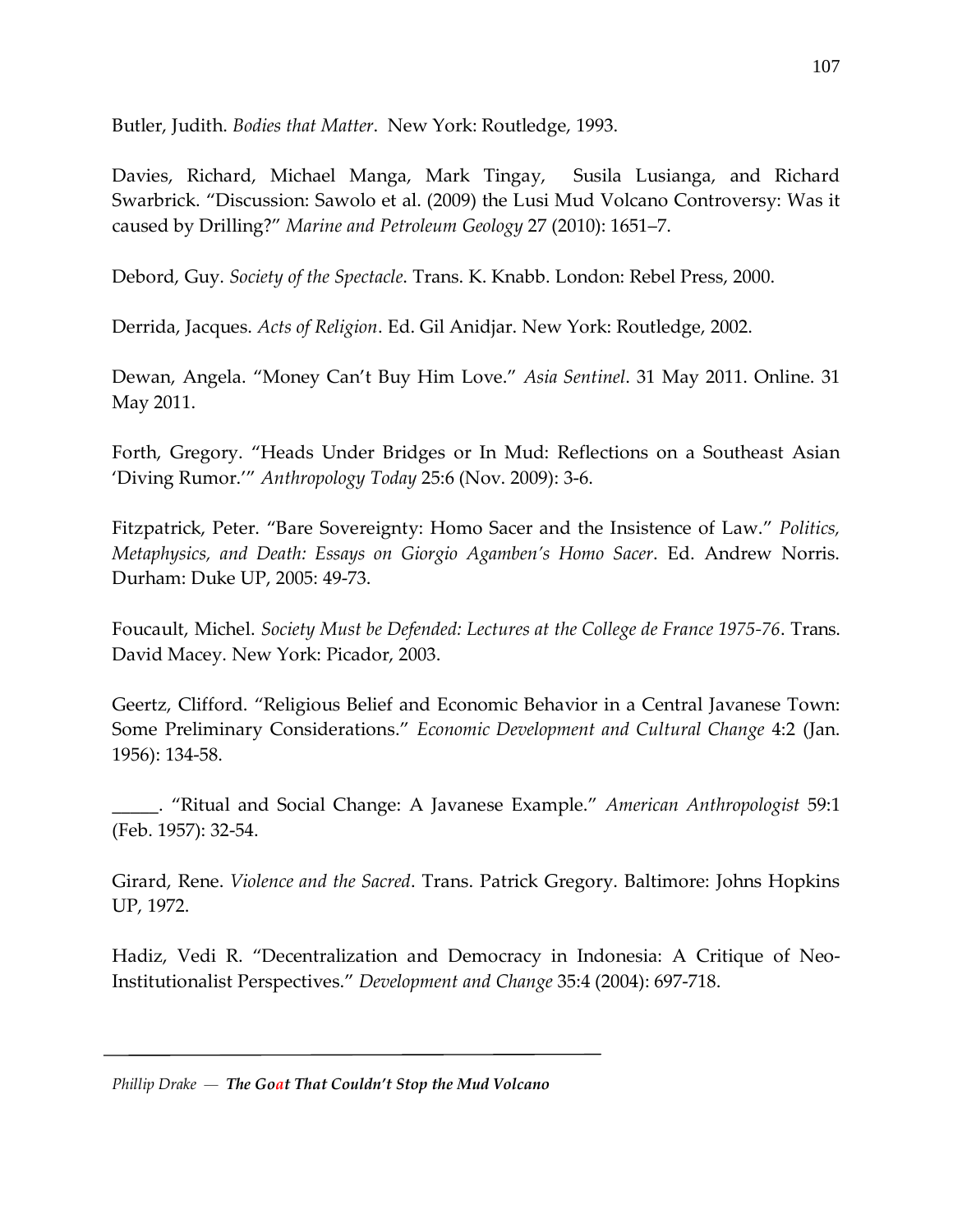Butler, Judith. *Bodies that Matter*. New York: Routledge, 1993.

Davies, Richard, Michael Manga, Mark Tingay, Susila Lusianga, and Richard Swarbrick. "Discussion: Sawolo et al. (2009) the Lusi Mud Volcano Controversy: Was it caused by Drilling?" *Marine and Petroleum Geology* 27 (2010): 1651–7.

Debord, Guy. *Society of the Spectacle*. Trans. K. Knabb. London: Rebel Press, 2000.

Derrida, Jacques. *Acts of Religion*. Ed. Gil Anidjar. New York: Routledge, 2002.

Dewan, Angela. "Money Can't Buy Him Love." *Asia Sentinel*. 31 May 2011. Online. 31 May 2011.

Forth, Gregory. "Heads Under Bridges or In Mud: Reflections on a Southeast Asian 'Diving Rumor.'" *Anthropology Today* 25:6 (Nov. 2009): 3-6.

Fitzpatrick, Peter. "Bare Sovereignty: Homo Sacer and the Insistence of Law." *Politics, Metaphysics, and Death: Essays on Giorgio Agamben's Homo Sacer*. Ed. Andrew Norris. Durham: Duke UP, 2005: 49-73.

Foucault, Michel. *Society Must be Defended: Lectures at the College de France 1975-76*. Trans. David Macey. New York: Picador, 2003.

Geertz, Clifford. "Religious Belief and Economic Behavior in a Central Javanese Town: Some Preliminary Considerations." *Economic Development and Cultural Change* 4:2 (Jan. 1956): 134-58.

\_\_\_\_\_. "Ritual and Social Change: A Javanese Example." *American Anthropologist* 59:1 (Feb. 1957): 32-54.

Girard, Rene. *Violence and the Sacred*. Trans. Patrick Gregory. Baltimore: Johns Hopkins UP, 1972.

Hadiz, Vedi R. "Decentralization and Democracy in Indonesia: A Critique of Neo-Institutionalist Perspectives." *Development and Change* 35:4 (2004): 697-718.

*Phillip Drake — The Goat That Couldn't Stop the Mud Volcano*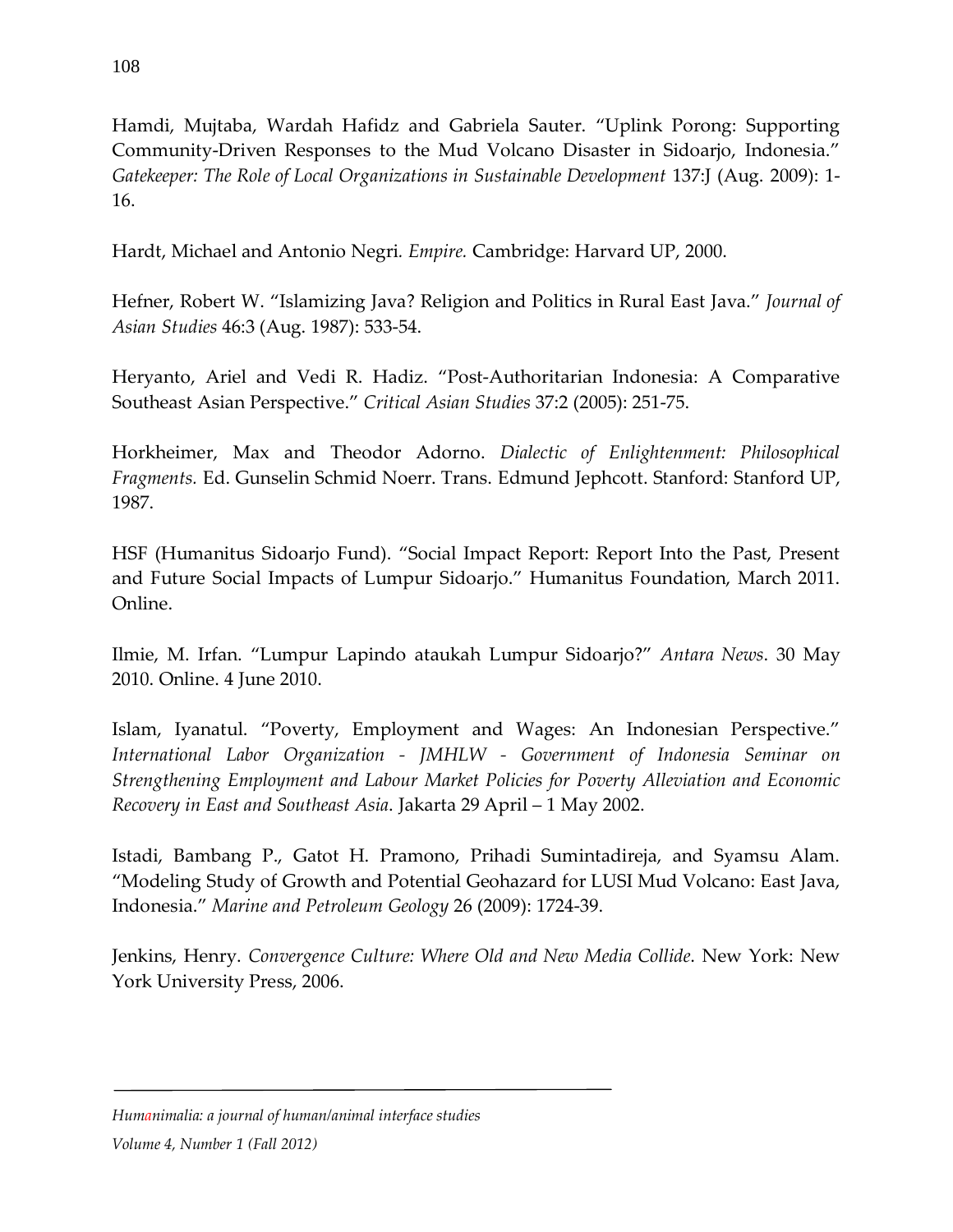Hamdi, Mujtaba, Wardah Hafidz and Gabriela Sauter. "Uplink Porong: Supporting Community-Driven Responses to the Mud Volcano Disaster in Sidoarjo, Indonesia." *Gatekeeper: The Role of Local Organizations in Sustainable Development* 137:J (Aug. 2009): 1- 16.

Hardt, Michael and Antonio Negri*. Empire.* Cambridge: Harvard UP, 2000.

Hefner, Robert W. "Islamizing Java? Religion and Politics in Rural East Java." *Journal of Asian Studies* 46:3 (Aug. 1987): 533-54.

Heryanto, Ariel and Vedi R. Hadiz. "Post-Authoritarian Indonesia: A Comparative Southeast Asian Perspective." *Critical Asian Studies* 37:2 (2005): 251-75.

Horkheimer, Max and Theodor Adorno. *Dialectic of Enlightenment: Philosophical Fragments.* Ed. Gunselin Schmid Noerr. Trans. Edmund Jephcott. Stanford: Stanford UP, 1987.

HSF (Humanitus Sidoarjo Fund). "Social Impact Report: Report Into the Past, Present and Future Social Impacts of Lumpur Sidoarjo." Humanitus Foundation, March 2011. Online.

Ilmie, M. Irfan. "Lumpur Lapindo ataukah Lumpur Sidoarjo?" *Antara News*. 30 May 2010. Online. 4 June 2010.

Islam, Iyanatul. "Poverty, Employment and Wages: An Indonesian Perspective." *International Labor Organization - JMHLW - Government of Indonesia Seminar on Strengthening Employment and Labour Market Policies for Poverty Alleviation and Economic Recovery in East and Southeast Asia*. Jakarta 29 April – 1 May 2002.

Istadi, Bambang P., Gatot H. Pramono, Prihadi Sumintadireja, and Syamsu Alam. "Modeling Study of Growth and Potential Geohazard for LUSI Mud Volcano: East Java, Indonesia." *Marine and Petroleum Geology* 26 (2009): 1724-39.

Jenkins, Henry. *Convergence Culture: Where Old and New Media Collide*. New York: New York University Press, 2006.

### *Humanimalia: a journal of human/animal interface studies*

*Volume 4, Number 1 (Fall 2012)*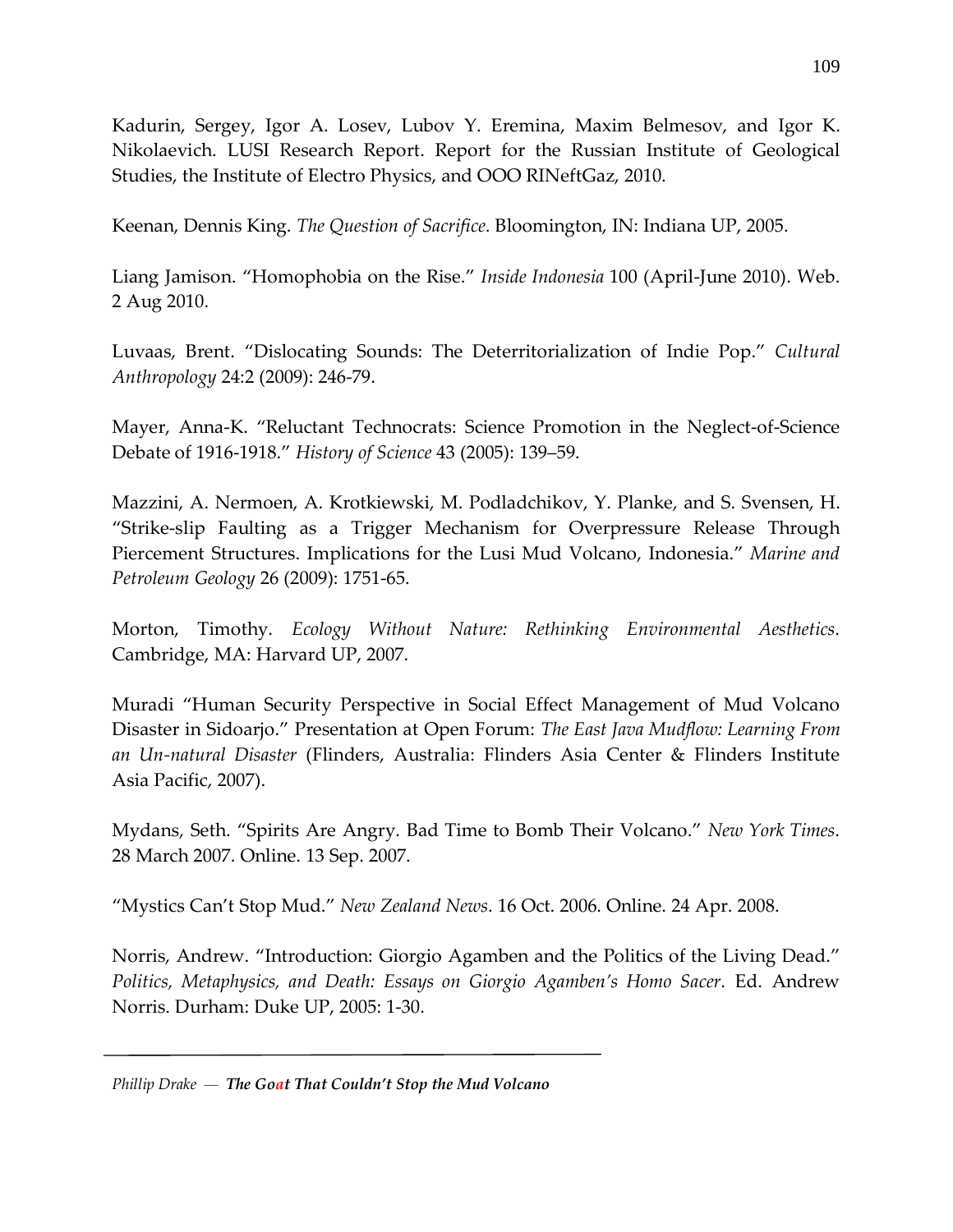Kadurin, Sergey, Igor A. Losev, Lubov Y. Eremina, Maxim Belmesov, and Igor K. Nikolaevich. LUSI Research Report. Report for the Russian Institute of Geological Studies, the Institute of Electro Physics, and OOO RINeftGaz, 2010.

Keenan, Dennis King. *The Question of Sacrifice*. Bloomington, IN: Indiana UP, 2005.

Liang Jamison. "Homophobia on the Rise." *Inside Indonesia* 100 (April-June 2010). Web. 2 Aug 2010.

Luvaas, Brent. "Dislocating Sounds: The Deterritorialization of Indie Pop." *Cultural Anthropology* 24:2 (2009): 246-79.

Mayer, Anna-K. "Reluctant Technocrats: Science Promotion in the Neglect-of-Science Debate of 1916-1918." *History of Science* 43 (2005): 139–59.

Mazzini, A. Nermoen, A. Krotkiewski, M. Podladchikov, Y. Planke, and S. Svensen, H. "Strike-slip Faulting as a Trigger Mechanism for Overpressure Release Through Piercement Structures. Implications for the Lusi Mud Volcano, Indonesia." *Marine and Petroleum Geology* 26 (2009): 1751-65.

Morton, Timothy. *Ecology Without Nature: Rethinking Environmental Aesthetics*. Cambridge, MA: Harvard UP, 2007.

Muradi "Human Security Perspective in Social Effect Management of Mud Volcano Disaster in Sidoarjo." Presentation at Open Forum: *The East Java Mudflow: Learning From an Un-natural Disaster* (Flinders, Australia: Flinders Asia Center & Flinders Institute Asia Pacific, 2007).

Mydans, Seth. "Spirits Are Angry. Bad Time to Bomb Their Volcano." *New York Times*. 28 March 2007. Online. 13 Sep. 2007.

"Mystics Can't Stop Mud." *New Zealand News*. 16 Oct. 2006. Online. 24 Apr. 2008.

Norris, Andrew. "Introduction: Giorgio Agamben and the Politics of the Living Dead." *Politics, Metaphysics, and Death: Essays on Giorgio Agamben's Homo Sacer*. Ed. Andrew Norris. Durham: Duke UP, 2005: 1-30.

*Phillip Drake — The Goat That Couldn't Stop the Mud Volcano*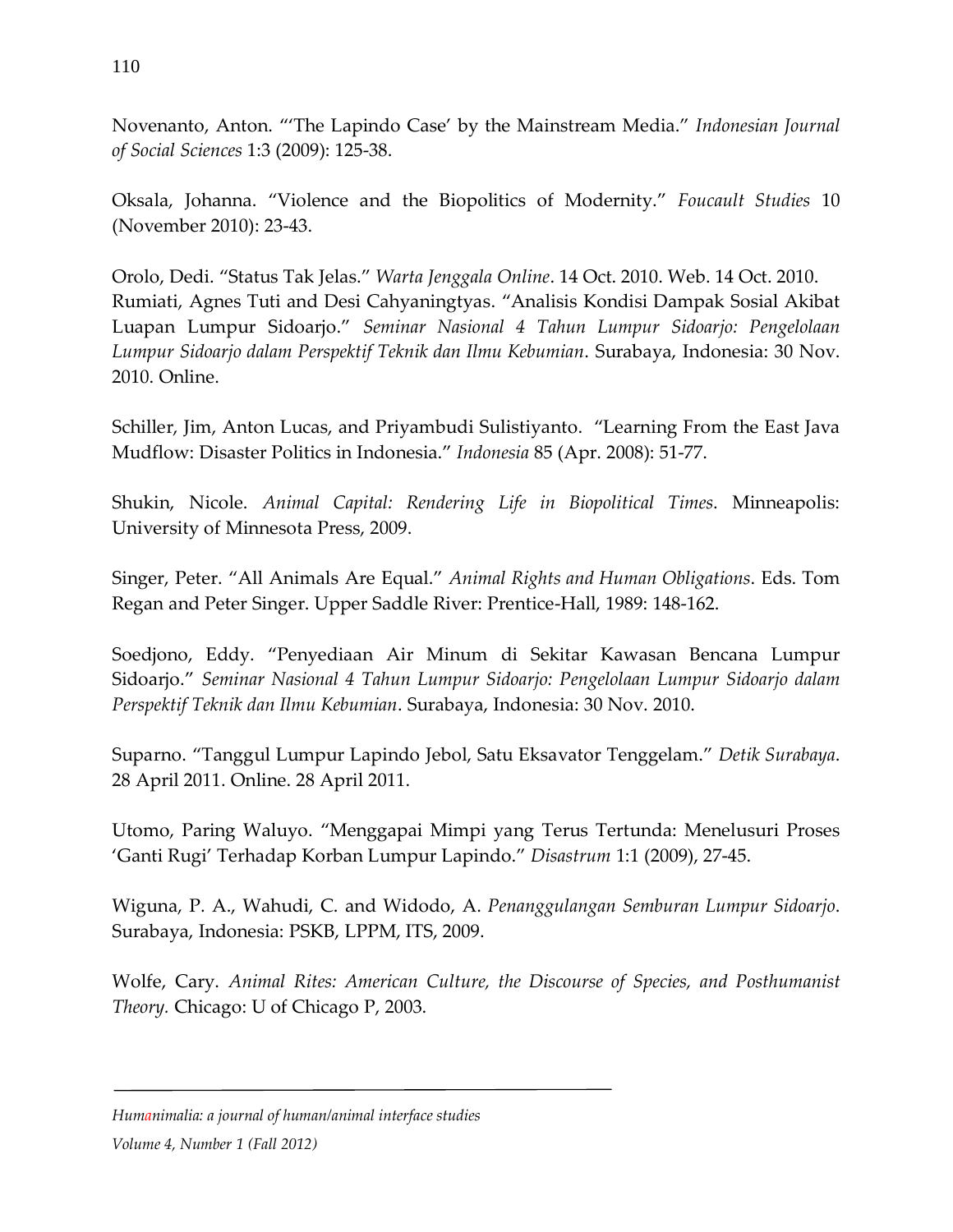Novenanto, Anton. "'The Lapindo Case' by the Mainstream Media." *Indonesian Journal of Social Sciences* 1:3 (2009): 125-38.

Oksala, Johanna. "Violence and the Biopolitics of Modernity." *Foucault Studies* 10 (November 2010): 23-43.

Orolo, Dedi. "Status Tak Jelas." *Warta Jenggala Online*. 14 Oct. 2010. Web. 14 Oct. 2010. Rumiati, Agnes Tuti and Desi Cahyaningtyas. "Analisis Kondisi Dampak Sosial Akibat Luapan Lumpur Sidoarjo." *Seminar Nasional 4 Tahun Lumpur Sidoarjo: Pengelolaan Lumpur Sidoarjo dalam Perspektif Teknik dan Ilmu Kebumian*. Surabaya, Indonesia: 30 Nov. 2010. Online.

Schiller, Jim, Anton Lucas, and Priyambudi Sulistiyanto. "Learning From the East Java Mudflow: Disaster Politics in Indonesia." *Indonesia* 85 (Apr. 2008): 51-77.

Shukin, Nicole. *Animal Capital: Rendering Life in Biopolitical Times*. Minneapolis: University of Minnesota Press, 2009.

Singer, Peter. "All Animals Are Equal." *Animal Rights and Human Obligations*. Eds. Tom Regan and Peter Singer. Upper Saddle River: Prentice-Hall, 1989: 148-162.

Soedjono, Eddy. "Penyediaan Air Minum di Sekitar Kawasan Bencana Lumpur Sidoarjo." *Seminar Nasional 4 Tahun Lumpur Sidoarjo: Pengelolaan Lumpur Sidoarjo dalam Perspektif Teknik dan Ilmu Kebumian*. Surabaya, Indonesia: 30 Nov. 2010.

Suparno. "Tanggul Lumpur Lapindo Jebol, Satu Eksavator Tenggelam." *Detik Surabaya*. 28 April 2011. Online. 28 April 2011.

Utomo, Paring Waluyo. "Menggapai Mimpi yang Terus Tertunda: Menelusuri Proses 'Ganti Rugi' Terhadap Korban Lumpur Lapindo." *Disastrum* 1:1 (2009), 27-45.

Wiguna, P. A., Wahudi, C. and Widodo, A. *Penanggulangan Semburan Lumpur Sidoarjo*. Surabaya, Indonesia: PSKB, LPPM, ITS, 2009.

Wolfe, Cary. *Animal Rites: American Culture, the Discourse of Species, and Posthumanist Theory.* Chicago: U of Chicago P, 2003.

*Humanimalia: a journal of human/animal interface studies*

*Volume 4, Number 1 (Fall 2012)*